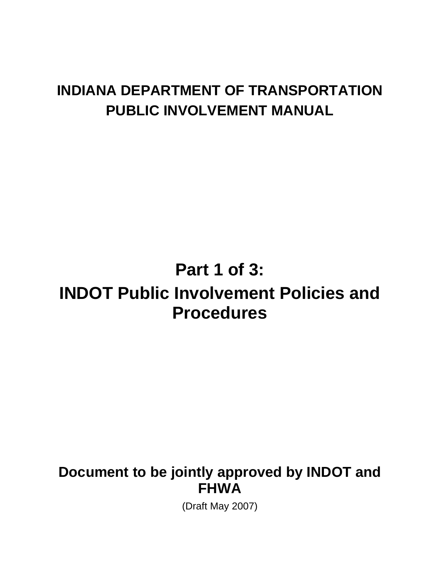# **INDIANA DEPARTMENT OF TRANSPORTATION PUBLIC INVOLVEMENT MANUAL**

# **Part 1 of 3:**

# **INDOT Public Involvement Policies and Procedures**

## **Document to be jointly approved by INDOT and FHWA**

(Draft May 2007)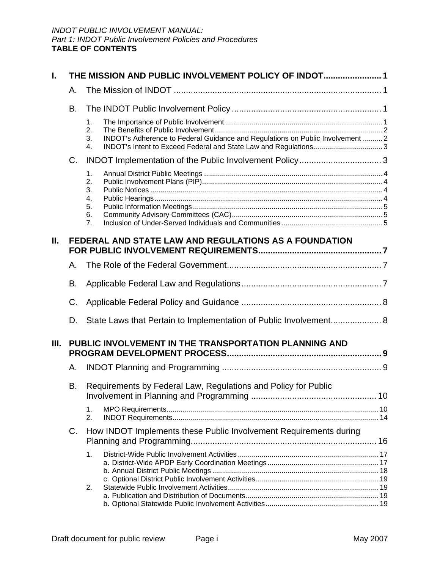| I. | THE MISSION AND PUBLIC INVOLVEMENT POLICY OF INDOT 1                 |                                                                                                                                                                           |  |  |  |
|----|----------------------------------------------------------------------|---------------------------------------------------------------------------------------------------------------------------------------------------------------------------|--|--|--|
|    | А.                                                                   |                                                                                                                                                                           |  |  |  |
|    | В.                                                                   |                                                                                                                                                                           |  |  |  |
|    |                                                                      | 1.<br>2.<br>INDOT's Adherence to Federal Guidance and Regulations on Public Involvement  2<br>3.<br>INDOT's Intent to Exceed Federal and State Law and Regulations3<br>4. |  |  |  |
|    | $C_{\cdot}$                                                          |                                                                                                                                                                           |  |  |  |
|    |                                                                      | 1.<br>2.<br>3.<br>4.<br>5.<br>6.<br>7.                                                                                                                                    |  |  |  |
| Ш. | FEDERAL AND STATE LAW AND REGULATIONS AS A FOUNDATION                |                                                                                                                                                                           |  |  |  |
|    | А.                                                                   |                                                                                                                                                                           |  |  |  |
|    | В.<br>C.                                                             |                                                                                                                                                                           |  |  |  |
|    |                                                                      |                                                                                                                                                                           |  |  |  |
|    | D.                                                                   | State Laws that Pertain to Implementation of Public Involvement 8                                                                                                         |  |  |  |
| Ш. | PUBLIC INVOLVEMENT IN THE TRANSPORTATION PLANNING AND                |                                                                                                                                                                           |  |  |  |
|    | А.                                                                   |                                                                                                                                                                           |  |  |  |
|    | Requirements by Federal Law, Regulations and Policy for Public<br>В. |                                                                                                                                                                           |  |  |  |
|    |                                                                      | 1.<br>2.                                                                                                                                                                  |  |  |  |
| C. |                                                                      | How INDOT Implements these Public Involvement Requirements during                                                                                                         |  |  |  |
|    |                                                                      | 1.<br>2.                                                                                                                                                                  |  |  |  |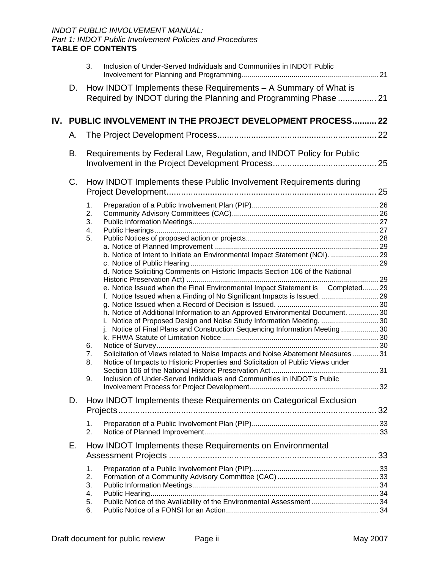|                                                                         | Inclusion of Under-Served Individuals and Communities in INDOT Public<br>3.                                                                                                                                                                                                                                                                                                                                                                                                                                                                                                                                                                                                                                                                                                                                                                                          |  |
|-------------------------------------------------------------------------|----------------------------------------------------------------------------------------------------------------------------------------------------------------------------------------------------------------------------------------------------------------------------------------------------------------------------------------------------------------------------------------------------------------------------------------------------------------------------------------------------------------------------------------------------------------------------------------------------------------------------------------------------------------------------------------------------------------------------------------------------------------------------------------------------------------------------------------------------------------------|--|
| D.                                                                      | How INDOT Implements these Requirements - A Summary of What is<br>Required by INDOT during the Planning and Programming Phase  21                                                                                                                                                                                                                                                                                                                                                                                                                                                                                                                                                                                                                                                                                                                                    |  |
|                                                                         | IV. PUBLIC INVOLVEMENT IN THE PROJECT DEVELOPMENT PROCESS 22                                                                                                                                                                                                                                                                                                                                                                                                                                                                                                                                                                                                                                                                                                                                                                                                         |  |
| А.                                                                      |                                                                                                                                                                                                                                                                                                                                                                                                                                                                                                                                                                                                                                                                                                                                                                                                                                                                      |  |
| В.                                                                      | Requirements by Federal Law, Regulation, and INDOT Policy for Public                                                                                                                                                                                                                                                                                                                                                                                                                                                                                                                                                                                                                                                                                                                                                                                                 |  |
| How INDOT Implements these Public Involvement Requirements during<br>C. |                                                                                                                                                                                                                                                                                                                                                                                                                                                                                                                                                                                                                                                                                                                                                                                                                                                                      |  |
|                                                                         | 1.<br>2.<br>3.<br>4.<br>5.<br>b. Notice of Intent to Initiate an Environmental Impact Statement (NOI). 29<br>d. Notice Soliciting Comments on Historic Impacts Section 106 of the National<br>e. Notice Issued when the Final Environmental Impact Statement is Completed29<br>f. Notice Issued when a Finding of No Significant Impacts is Issued<br>h. Notice of Additional Information to an Approved Environmental Document. 30<br>i. Notice of Proposed Design and Noise Study Information Meeting.  30<br>j. Notice of Final Plans and Construction Sequencing Information Meeting 30<br>6.<br>Solicitation of Views related to Noise Impacts and Noise Abatement Measures  31<br>7.<br>Notice of Impacts to Historic Properties and Solicitation of Public Views under<br>8.<br>Inclusion of Under-Served Individuals and Communities in INDOT's Public<br>9. |  |
| How INDOT Implements these Requirements on Categorical Exclusion<br>D.  |                                                                                                                                                                                                                                                                                                                                                                                                                                                                                                                                                                                                                                                                                                                                                                                                                                                                      |  |
|                                                                         | 1.<br>2.                                                                                                                                                                                                                                                                                                                                                                                                                                                                                                                                                                                                                                                                                                                                                                                                                                                             |  |
| Е.                                                                      | How INDOT Implements these Requirements on Environmental                                                                                                                                                                                                                                                                                                                                                                                                                                                                                                                                                                                                                                                                                                                                                                                                             |  |
|                                                                         | 1.<br>2.<br>3.<br>4.<br>Public Notice of the Availability of the Environmental Assessment34<br>5.<br>6.                                                                                                                                                                                                                                                                                                                                                                                                                                                                                                                                                                                                                                                                                                                                                              |  |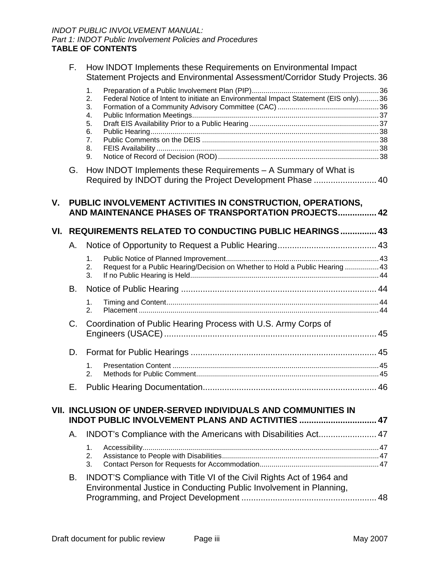|     | F.        | How INDOT Implements these Requirements on Environmental Impact<br>Statement Projects and Environmental Assessment/Corridor Study Projects. 36 |                                                                                                                                             |  |  |
|-----|-----------|------------------------------------------------------------------------------------------------------------------------------------------------|---------------------------------------------------------------------------------------------------------------------------------------------|--|--|
|     |           | 1.<br>2.<br>3.<br>4.<br>5.<br>6.<br>7.<br>8.<br>9.                                                                                             | Federal Notice of Intent to initiate an Environmental Impact Statement (EIS only)36                                                         |  |  |
|     | G.        |                                                                                                                                                | How INDOT Implements these Requirements - A Summary of What is<br>Required by INDOT during the Project Development Phase  40                |  |  |
| V.  |           |                                                                                                                                                | PUBLIC INVOLVEMENT ACTIVITIES IN CONSTRUCTION, OPERATIONS,<br>AND MAINTENANCE PHASES OF TRANSPORTATION PROJECTS 42                          |  |  |
| VI. |           |                                                                                                                                                | <b>REQUIREMENTS RELATED TO CONDUCTING PUBLIC HEARINGS 43</b>                                                                                |  |  |
|     | А.        |                                                                                                                                                |                                                                                                                                             |  |  |
|     |           | 1.<br>2.<br>3.                                                                                                                                 | Request for a Public Hearing/Decision on Whether to Hold a Public Hearing  43                                                               |  |  |
|     | <b>B.</b> |                                                                                                                                                |                                                                                                                                             |  |  |
|     |           | 1.<br>2.                                                                                                                                       |                                                                                                                                             |  |  |
|     | C.        |                                                                                                                                                | Coordination of Public Hearing Process with U.S. Army Corps of                                                                              |  |  |
|     | D.        |                                                                                                                                                |                                                                                                                                             |  |  |
|     |           | 1.<br>2.                                                                                                                                       |                                                                                                                                             |  |  |
|     |           |                                                                                                                                                |                                                                                                                                             |  |  |
|     |           |                                                                                                                                                | VII. INCLUSION OF UNDER-SERVED INDIVIDUALS AND COMMUNITIES IN<br>INDOT PUBLIC INVOLVEMENT PLANS AND ACTIVITIES  47                          |  |  |
|     | Α.        |                                                                                                                                                | INDOT's Compliance with the Americans with Disabilities Act 47                                                                              |  |  |
|     |           | 1.<br>2.<br>3.                                                                                                                                 |                                                                                                                                             |  |  |
|     | В.        |                                                                                                                                                | INDOT'S Compliance with Title VI of the Civil Rights Act of 1964 and<br>Environmental Justice in Conducting Public Involvement in Planning, |  |  |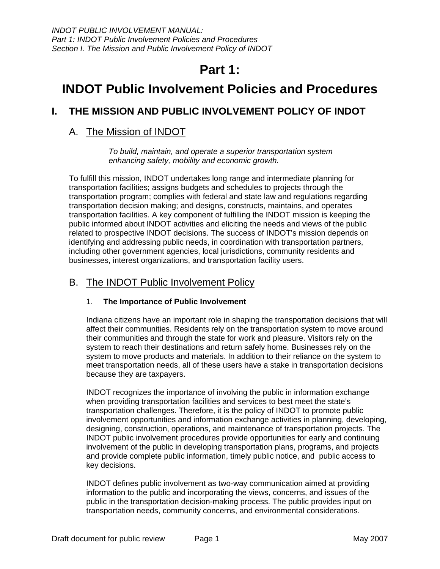## **Part 1:**

## <span id="page-4-0"></span>**INDOT Public Involvement Policies and Procedures**

## **I. THE MISSION AND PUBLIC INVOLVEMENT POLICY OF INDOT**

## A. The Mission of INDOT

*To build, maintain, and operate a superior transportation system enhancing safety, mobility and economic growth.* 

To fulfill this mission, INDOT undertakes long range and intermediate planning for transportation facilities; assigns budgets and schedules to projects through the transportation program; complies with federal and state law and regulations regarding transportation decision making; and designs, constructs, maintains, and operates transportation facilities. A key component of fulfilling the INDOT mission is keeping the public informed about INDOT activities and eliciting the needs and views of the public related to prospective INDOT decisions. The success of INDOT's mission depends on identifying and addressing public needs, in coordination with transportation partners, including other government agencies, local jurisdictions, community residents and businesses, interest organizations, and transportation facility users.

## B. The INDOT Public Involvement Policy

#### 1. **The Importance of Public Involvement**

Indiana citizens have an important role in shaping the transportation decisions that will affect their communities. Residents rely on the transportation system to move around their communities and through the state for work and pleasure. Visitors rely on the system to reach their destinations and return safely home. Businesses rely on the system to move products and materials. In addition to their reliance on the system to meet transportation needs, all of these users have a stake in transportation decisions because they are taxpayers.

INDOT recognizes the importance of involving the public in information exchange when providing transportation facilities and services to best meet the state's transportation challenges. Therefore, it is the policy of INDOT to promote public involvement opportunities and information exchange activities in planning, developing, designing, construction, operations, and maintenance of transportation projects. The INDOT public involvement procedures provide opportunities for early and continuing involvement of the public in developing transportation plans, programs, and projects and provide complete public information, timely public notice, and public access to key decisions.

INDOT defines public involvement as two-way communication aimed at providing information to the public and incorporating the views, concerns, and issues of the public in the transportation decision-making process. The public provides input on transportation needs, community concerns, and environmental considerations.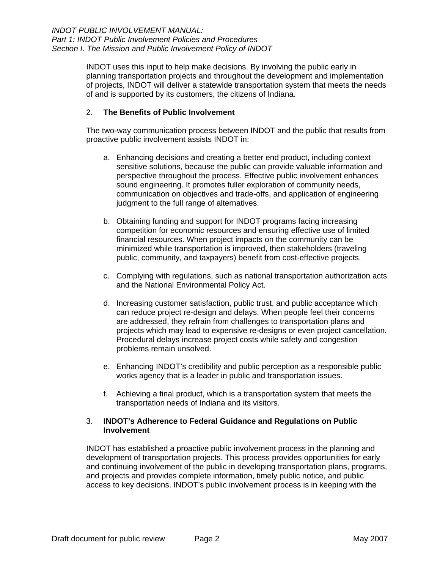<span id="page-5-0"></span>INDOT uses this input to help make decisions. By involving the public early in planning transportation projects and throughout the development and implementation of projects, INDOT will deliver a statewide transportation system that meets the needs of and is supported by its customers, the citizens of Indiana.

#### 2. **The Benefits of Public Involvement**

The two-way communication process between INDOT and the public that results from proactive public involvement assists INDOT in:

- a. Enhancing decisions and creating a better end product, including context sensitive solutions, because the public can provide valuable information and perspective throughout the process. Effective public involvement enhances sound engineering. It promotes fuller exploration of community needs, communication on objectives and trade-offs, and application of engineering judgment to the full range of alternatives.
- b. Obtaining funding and support for INDOT programs facing increasing competition for economic resources and ensuring effective use of limited financial resources. When project impacts on the community can be minimized while transportation is improved, then stakeholders (traveling public, community, and taxpayers) benefit from cost-effective projects.
- c. Complying with regulations, such as national transportation authorization acts and the National Environmental Policy Act.
- d. Increasing customer satisfaction, public trust, and public acceptance which can reduce project re-design and delays. When people feel their concerns are addressed, they refrain from challenges to transportation plans and projects which may lead to expensive re-designs or even project cancellation. Procedural delays increase project costs while safety and congestion problems remain unsolved.
- e. Enhancing INDOT's credibility and public perception as a responsible public works agency that is a leader in public and transportation issues.
- f. Achieving a final product, which is a transportation system that meets the transportation needs of Indiana and its visitors.

#### 3. **INDOT's Adherence to Federal Guidance and Regulations on Public Involvement**

INDOT has established a proactive public involvement process in the planning and development of transportation projects. This process provides opportunities for early and continuing involvement of the public in developing transportation plans, programs, and projects and provides complete information, timely public notice, and public access to key decisions. INDOT's public involvement process is in keeping with the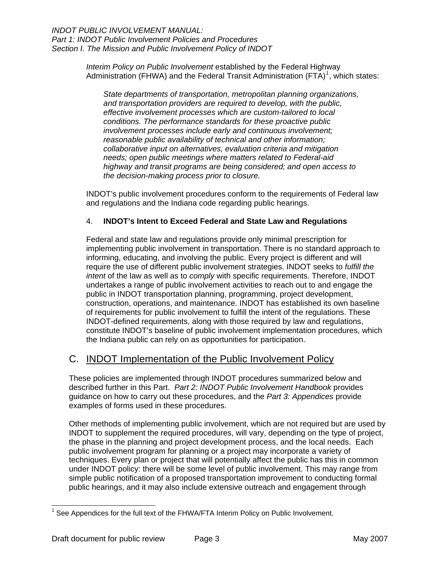<span id="page-6-0"></span>*Interim Policy on Public Involvement* established by the Federal Highway Administration (FHWA) and the Federal Transit Administration (FTA)<sup>[1](#page-6-1)</sup>, which states:

*State departments of transportation, metropolitan planning organizations, and transportation providers are required to develop, with the public, effective involvement processes which are custom-tailored to local conditions. The performance standards for these proactive public involvement processes include early and continuous involvement; reasonable public availability of technical and other information; collaborative input on alternatives, evaluation criteria and mitigation needs; open public meetings where matters related to Federal-aid highway and transit programs are being considered; and open access to the decision-making process prior to closure.* 

INDOT's public involvement procedures conform to the requirements of Federal law and regulations and the Indiana code regarding public hearings.

#### 4. **INDOT's Intent to Exceed Federal and State Law and Regulations**

Federal and state law and regulations provide only minimal prescription for implementing public involvement in transportation. There is no standard approach to informing, educating, and involving the public. Every project is different and will require the use of different public involvement strategies. INDOT seeks to *fulfill the intent* of the law as well as to *comply* with specific requirements. Therefore, INDOT undertakes a range of public involvement activities to reach out to and engage the public in INDOT transportation planning, programming, project development, construction, operations, and maintenance. INDOT has established its own baseline of requirements for public involvement to fulfill the intent of the regulations. These INDOT-defined requirements, along with those required by law and regulations, constitute INDOT's baseline of public involvement implementation procedures, which the Indiana public can rely on as opportunities for participation.

## C. INDOT Implementation of the Public Involvement Policy

These policies are implemented through INDOT procedures summarized below and described further in this Part. *Part 2: INDOT Public Involvement Handbook* provides guidance on how to carry out these procedures, and the *Part 3: Appendices* provide examples of forms used in these procedures.

Other methods of implementing public involvement, which are not required but are used by INDOT to supplement the required procedures, will vary, depending on the type of project, the phase in the planning and project development process, and the local needs. Each public involvement program for planning or a project may incorporate a variety of techniques. Every plan or project that will potentially affect the public has this in common under INDOT policy: there will be some level of public involvement. This may range from simple public notification of a proposed transportation improvement to conducting formal public hearings, and it may also include extensive outreach and engagement through

<span id="page-6-1"></span><sup>-</sup> $1$  See Appendices for the full text of the FHWA/FTA Interim Policy on Public Involvement.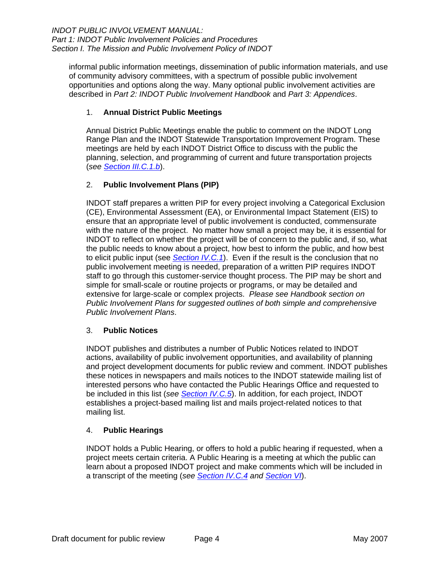<span id="page-7-0"></span>informal public information meetings, dissemination of public information materials, and use of community advisory committees, with a spectrum of possible public involvement opportunities and options along the way. Many optional public involvement activities are described in *Part 2: INDOT Public Involvement Handbook* and *Part 3: Appendices*.

#### 1. **Annual District Public Meetings**

Annual District Public Meetings enable the public to comment on the INDOT Long Range Plan and the INDOT Statewide Transportation Improvement Program. These meetings are held by each INDOT District Office to discuss with the public the planning, selection, and programming of current and future transportation projects (*see [Section III.C.1.b](#page-21-0)*).

#### 2. **Public Involvement Plans (PIP)**

INDOT staff prepares a written PIP for every project involving a Categorical Exclusion (CE), Environmental Assessment (EA), or Environmental Impact Statement (EIS) to ensure that an appropriate level of public involvement is conducted, commensurate with the nature of the project. No matter how small a project may be, it is essential for INDOT to reflect on whether the project will be of concern to the public and, if so, what the public needs to know about a project, how best to inform the public, and how best to elicit public input (see *[Section IV.C.1](#page-29-0)*). Even if the result is the conclusion that no public involvement meeting is needed, preparation of a written PIP requires INDOT staff to go through this customer-service thought process. The PIP may be short and simple for small-scale or routine projects or programs, or may be detailed and extensive for large-scale or complex projects. *Please see Handbook section on Public Involvement Plans for suggested outlines of both simple and comprehensive Public Involvement Plans*.

#### 3. **Public Notices**

INDOT publishes and distributes a number of Public Notices related to INDOT actions, availability of public involvement opportunities, and availability of planning and project development documents for public review and comment. INDOT publishes these notices in newspapers and mails notices to the INDOT statewide mailing list of interested persons who have contacted the Public Hearings Office and requested to be included in this list (*see [Section IV.C.5](#page-31-0)*). In addition, for each project, INDOT establishes a project-based mailing list and mails project-related notices to that mailing list.

#### 4. **Public Hearings**

INDOT holds a Public Hearing, or offers to hold a public hearing if requested, when a project meets certain criteria. A Public Hearing is a meeting at which the public can learn about a proposed INDOT project and make comments which will be included in a transcript of the meeting (*see [Section IV.C.4](#page-30-0) and [Section VI](#page-46-0)*).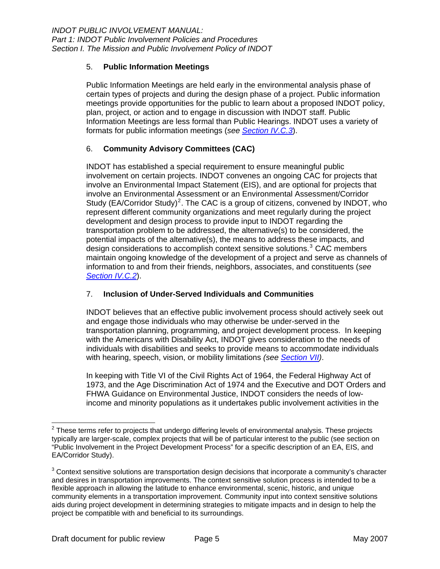#### <span id="page-8-0"></span>5. **Public Information Meetings**

Public Information Meetings are held early in the environmental analysis phase of certain types of projects and during the design phase of a project. Public information meetings provide opportunities for the public to learn about a proposed INDOT policy, plan, project, or action and to engage in discussion with INDOT staff. Public Information Meetings are less formal than Public Hearings. INDOT uses a variety of formats for public information meetings (*see [Section IV.C.3](#page-30-0)*).

#### 6. **Community Advisory Committees (CAC)**

INDOT has established a special requirement to ensure meaningful public involvement on certain projects. INDOT convenes an ongoing CAC for projects that involve an Environmental Impact Statement (EIS), and are optional for projects that involve an Environmental Assessment or an Environmental Assessment/Corridor Study (EA/Corridor Study)<sup>[2](#page-8-1)</sup>. The CAC is a group of citizens, convened by INDOT, who represent different community organizations and meet regularly during the project development and design process to provide input to INDOT regarding the transportation problem to be addressed, the alternative(s) to be considered, the potential impacts of the alternative(s), the means to address these impacts, and design considerations to accomplish context sensitive solutions. $3$  CAC members maintain ongoing knowledge of the development of a project and serve as channels of information to and from their friends, neighbors, associates, and constituents (*see [Section IV.C.2](#page-29-0)*).

#### 7. **Inclusion of Under-Served Individuals and Communities**

INDOT believes that an effective public involvement process should actively seek out and engage those individuals who may otherwise be under-served in the transportation planning, programming, and project development process. In keeping with the Americans with Disability Act, INDOT gives consideration to the needs of individuals with disabilities and seeks to provide means to accommodate individuals with hearing, speech, vision, or mobility limitations *(see [Section VII](#page-50-0))*.

In keeping with Title VI of the Civil Rights Act of 1964, the Federal Highway Act of 1973, and the Age Discrimination Act of 1974 and the Executive and DOT Orders and FHWA Guidance on Environmental Justice, INDOT considers the needs of lowincome and minority populations as it undertakes public involvement activities in the

<span id="page-8-1"></span> 2 These terms refer to projects that undergo differing levels of environmental analysis. These projects typically are larger-scale, complex projects that will be of particular interest to the public (see section on "Public Involvement in the Project Development Process" for a specific description of an EA, EIS, and EA/Corridor Study).

<span id="page-8-2"></span> $3$  Context sensitive solutions are transportation design decisions that incorporate a community's character and desires in transportation improvements. The context sensitive solution process is intended to be a flexible approach in allowing the latitude to enhance environmental, scenic, historic, and unique community elements in a transportation improvement. Community input into context sensitive solutions aids during project development in determining strategies to mitigate impacts and in design to help the project be compatible with and beneficial to its surroundings.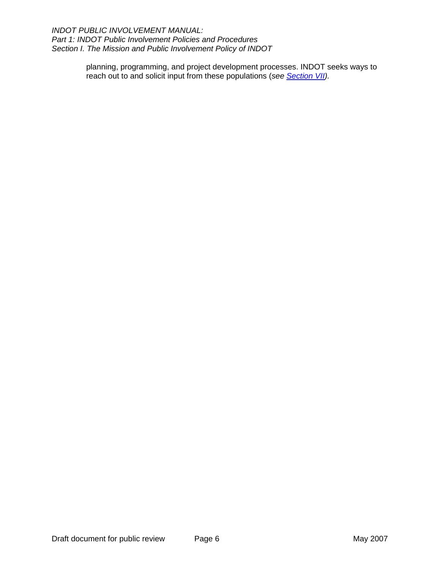*INDOT PUBLIC INVOLVEMENT MANUAL: Part 1: INDOT Public Involvement Policies and Procedures Section I. The Mission and Public Involvement Policy of INDOT* 

> planning, programming, and project development processes. INDOT seeks ways to reach out to and solicit input from these populations (*see [Section VII](#page-50-0)).*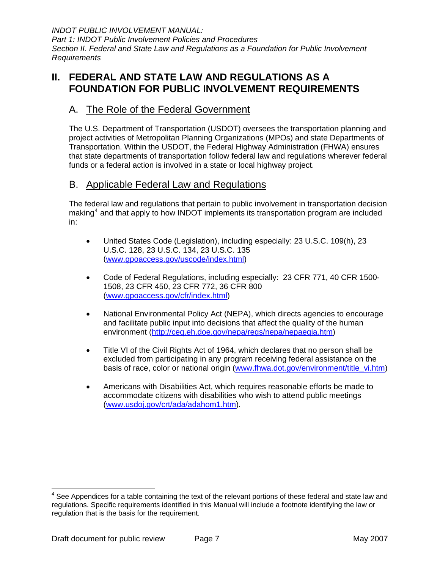<span id="page-10-0"></span>*INDOT PUBLIC INVOLVEMENT MANUAL: Part 1: INDOT Public Involvement Policies and Procedures Section II. Federal and State Law and Regulations as a Foundation for Public Involvement Requirements* 

## **II. FEDERAL AND STATE LAW AND REGULATIONS AS A FOUNDATION FOR PUBLIC INVOLVEMENT REQUIREMENTS**

## A. The Role of the Federal Government

The U.S. Department of Transportation (USDOT) oversees the transportation planning and project activities of Metropolitan Planning Organizations (MPOs) and state Departments of Transportation. Within the USDOT, the Federal Highway Administration (FHWA) ensures that state departments of transportation follow federal law and regulations wherever federal funds or a federal action is involved in a state or local highway project.

## B. Applicable Federal Law and Regulations

The federal law and regulations that pertain to public involvement in transportation decision making $<sup>4</sup>$  $<sup>4</sup>$  $<sup>4</sup>$  and that apply to how INDOT implements its transportation program are included</sup> in:

- United States Code (Legislation), including especially: 23 U.S.C. 109(h), 23 U.S.C. 128, 23 U.S.C. 134, 23 U.S.C. 135 ([www.gpoaccess.gov/uscode/index.html\)](http://www.gpoaccess.gov/uscode/index.html)
- Code of Federal Regulations, including especially: 23 CFR 771, 40 CFR 1500- 1508, 23 CFR 450, 23 CFR 772, 36 CFR 800 ([www.gpoaccess.gov/cfr/index.html](http://www.gpoaccess.gov/cfr/index.html))
- National Environmental Policy Act (NEPA), which directs agencies to encourage and facilitate public input into decisions that affect the quality of the human environment [\(http://ceq.eh.doe.gov/nepa/regs/nepa/nepaeqia.htm](http://ceq.eh.doe.gov/nepa/regs/nepa/nepaeqia.htm))
- Title VI of the Civil Rights Act of 1964, which declares that no person shall be excluded from participating in any program receiving federal assistance on the basis of race, color or national origin [\(www.fhwa.dot.gov/environment/title\\_vi.htm\)](http://www.fhwa.dot.gov/environment/title_vi.htm)
- Americans with Disabilities Act, which requires reasonable efforts be made to accommodate citizens with disabilities who wish to attend public meetings ([www.usdoj.gov/crt/ada/adahom1.htm\)](http://www.usdoj.gov/crt/ada/adahom1.htm).

<span id="page-10-1"></span>  $4$  See Appendices for a table containing the text of the relevant portions of these federal and state law and regulations. Specific requirements identified in this Manual will include a footnote identifying the law or regulation that is the basis for the requirement.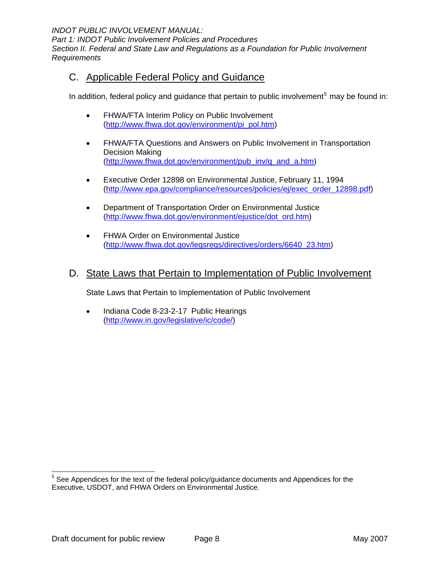<span id="page-11-0"></span>*INDOT PUBLIC INVOLVEMENT MANUAL:* 

*Part 1: INDOT Public Involvement Policies and Procedures Section II. Federal and State Law and Regulations as a Foundation for Public Involvement Requirements* 

## C. Applicable Federal Policy and Guidance

In addition, federal policy and guidance that pertain to public involvement<sup>[5](#page-11-1)</sup> may be found in:

- FHWA/FTA Interim Policy on Public Involvement ([http://www.fhwa.dot.gov/environment/pi\\_pol.htm\)](http://www.fhwa.dot.gov/environment/pi_pol.htm)
- FHWA/FTA Questions and Answers on Public Involvement in Transportation Decision Making ([http://www.fhwa.dot.gov/environment/pub\\_inv/q\\_and\\_a.htm\)](http://www.fhwa.dot.gov/environment/pub_inv/q_and_a.htm)
- Executive Order 12898 on Environmental Justice, February 11, 1994 ([http://www.epa.gov/compliance/resources/policies/ej/exec\\_order\\_12898.pdf\)](http://www.epa.gov/compliance/resources/policies/ej/exec_order_12898.pdf)
- Department of Transportation Order on Environmental Justice ([http://www.fhwa.dot.gov/environment/ejustice/dot\\_ord.htm](http://www.fhwa.dot.gov/environment/ejustice/dot_ord.htm))
- FHWA Order on Environmental Justice ([http://www.fhwa.dot.gov/legsregs/directives/orders/6640\\_23.htm](http://www.fhwa.dot.gov/legsregs/directives/orders/6640_23.htm))

### D. State Laws that Pertain to Implementation of Public Involvement

State Laws that Pertain to Implementation of Public Involvement

• Indiana Code 8-23-2-17 Public Hearings ([http://www.in.gov/legislative/ic/code/\)](http://www.in.gov/legislative/ic/code/)

<span id="page-11-1"></span> $5$  See Appendices for the text of the federal policy/guidance documents and Appendices for the Executive, USDOT, and FHWA Orders on Environmental Justice.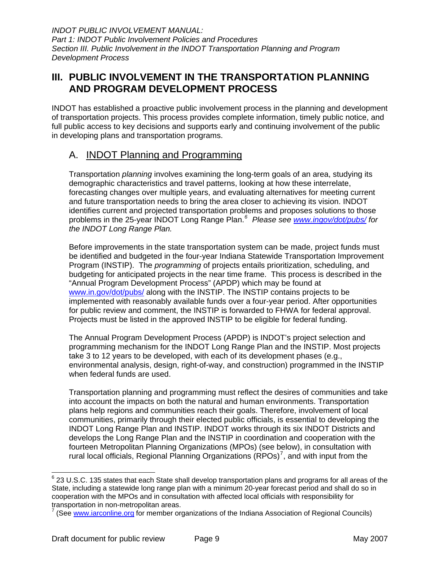## <span id="page-12-0"></span>**III. PUBLIC INVOLVEMENT IN THE TRANSPORTATION PLANNING AND PROGRAM DEVELOPMENT PROCESS**

INDOT has established a proactive public involvement process in the planning and development of transportation projects. This process provides complete information, timely public notice, and full public access to key decisions and supports early and continuing involvement of the public in developing plans and transportation programs.

## A. INDOT Planning and Programming

Transportation *planning* involves examining the long-term goals of an area, studying its demographic characteristics and travel patterns, looking at how these interrelate, forecasting changes over multiple years, and evaluating alternatives for meeting current and future transportation needs to bring the area closer to achieving its vision. INDOT identifies current and projected transportation problems and proposes solutions to those problems in the 25-year INDOT Long Range Plan.*[6](#page-12-1) Please see [www.ingov/dot/pubs/](http://www.ingov/dot/pubs/) for the INDOT Long Range Plan.*

Before improvements in the state transportation system can be made, project funds must be identified and budgeted in the four-year Indiana Statewide Transportation Improvement Program (INSTIP). The *programming* of projects entails prioritization, scheduling, and budgeting for anticipated projects in the near time frame. This process is described in the "Annual Program Development Process" (APDP) which may be found at [www.in.gov/dot/pubs/](http://www.in.gov/dot/pubs/) along with the INSTIP. The INSTIP contains projects to be implemented with reasonably available funds over a four-year period. After opportunities for public review and comment, the INSTIP is forwarded to FHWA for federal approval. Projects must be listed in the approved INSTIP to be eligible for federal funding.

The Annual Program Development Process (APDP) is INDOT's project selection and programming mechanism for the INDOT Long Range Plan and the INSTIP. Most projects take 3 to 12 years to be developed, with each of its development phases (e.g., environmental analysis, design, right-of-way, and construction) programmed in the INSTIP when federal funds are used.

Transportation planning and programming must reflect the desires of communities and take into account the impacts on both the natural and human environments. Transportation plans help regions and communities reach their goals. Therefore, involvement of local communities, primarily through their elected public officials, is essential to developing the INDOT Long Range Plan and INSTIP. INDOT works through its six INDOT Districts and develops the Long Range Plan and the INSTIP in coordination and cooperation with the fourteen Metropolitan Planning Organizations (MPOs) (see below), in consultation with rural local officials, Regional Planning Organizations (RPOs)<sup>[7](#page-12-2)</sup>, and with input from the

<span id="page-12-1"></span>\_\_\_\_\_\_\_\_\_\_\_\_\_\_\_\_\_\_\_\_\_\_\_\_\_\_\_\_\_\_\_\_\_\_<br><sup>6</sup> 23 U.S.C. 135 states that each State shall develop transportation plans and programs for all areas of the State, including a statewide long range plan with a minimum 20-year forecast period and shall do so in cooperation with the MPOs and in consultation with affected local officials with responsibility for transportation in non-metropolitan areas.<br><sup>7</sup> (See unux ioreanline are for mamber are

<span id="page-12-2"></span> <sup>(</sup>See [www.iarconline.org](http://www.iarconline.org/) for member organizations of the Indiana Association of Regional Councils)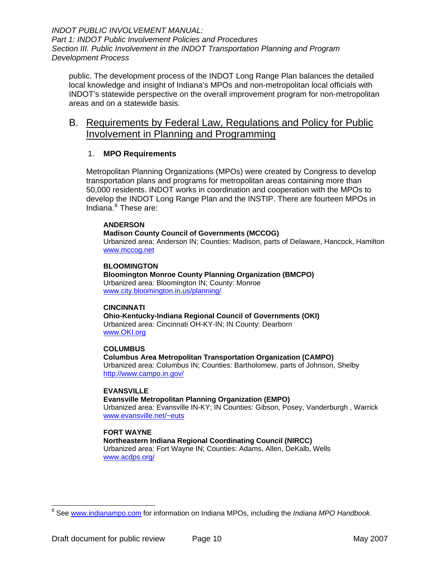<span id="page-13-0"></span>public. The development process of the INDOT Long Range Plan balances the detailed local knowledge and insight of Indiana's MPOs and non-metropolitan local officials with INDOT's statewide perspective on the overall improvement program for non-metropolitan areas and on a statewide basis.

## B. Requirements by Federal Law, Regulations and Policy for Public Involvement in Planning and Programming

#### 1. **MPO Requirements**

Metropolitan Planning Organizations (MPOs) were created by Congress to develop transportation plans and programs for metropolitan areas containing more than 50,000 residents. INDOT works in coordination and cooperation with the MPOs to develop the INDOT Long Range Plan and the INSTIP. There are fourteen MPOs in Indiana.<sup>[8](#page-13-1)</sup> These are:

#### **ANDERSON**

**Madison County Council of Governments (MCCOG)**  Urbanized area: Anderson IN; Counties: Madison, parts of Delaware, Hancock, Hamilton [www.mccog.net](http://www.mccog.net/)

**BLOOMINGTON** 

**Bloomington Monroe County Planning Organization (BMCPO)**  Urbanized area: Bloomington IN; County: Monroe [www.city.bloomington.in.us/planning/](http://www.city.bloomington.in.us/planning/)

#### **CINCINNATI**

**Ohio-Kentucky-Indiana Regional Council of Governments (OKI)**  Urbanized area: Cincinnati OH-KY-IN; IN County: Dearborn [www.OKI.org](http://www.oki.org/)

#### **COLUMBUS**

**Columbus Area Metropolitan Transportation Organization (CAMPO)**  Urbanized area: Columbus IN; Counties: Bartholomew, parts of Johnson, Shelby <http://www.campo.in.gov/>

#### **EVANSVILLE**

**Evansville Metropolitan Planning Organization (EMPO)**

Urbanized area: Evansville IN-KY; IN Counties: Gibson, Posey, Vanderburgh , Warrick [www.evansville.net/~euts](http://www.evansville.net/%7Eeuts)

#### **FORT WAYNE**

**[Northeastern Indiana Regional Coordinating Council \(NIRCC\)](http://www.indianampo.com/councilhome/fort_wayne.htm)** Urbanized area: Fort Wayne IN; Counties: Adams, Allen, DeKalb, Wells [www.acdps.org/](http://www.acdps.org/)

<span id="page-13-1"></span><sup>8</sup> See [www.indianampo.com](http://www.indianampo.com/) for information on Indiana MPOs, including the *Indiana MPO Handbook*.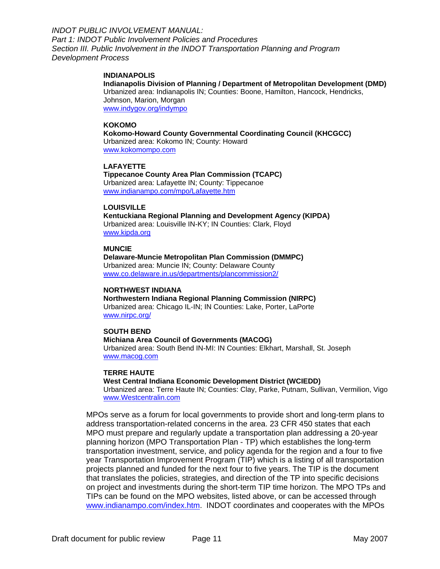#### **INDIANAPOLIS**

**[Indianapolis Division of Planning / Department of Metropolitan Development \(DMD\)](http://www.indianampo.com/councilhome/indianapolis.htm)** Urbanized area: Indianapolis IN; Counties: Boone, Hamilton, Hancock, Hendricks, Johnson, Marion, Morgan [www.indygov.org/indympo](http://www.indygov.org/indympo)

#### **KOKOMO**

**[Kokomo-Howard County Governmental Coordinating Council \(KHCGCC\)](http://www.indianampo.com/councilhome/kokomo.htm)** Urbanized area: Kokomo IN; County: Howard [www.kokomompo.com](http://www.kokomompo.com/)

#### **LAFAYETTE**

**[Tippecanoe County Area Plan Commission \(TCAPC\)](http://www.indianampo.com/councilhome/lafayette.htm)** Urbanized area: Lafayette IN; County: Tippecanoe [www.indianampo.com/mpo/Lafayette.htm](http://www.indianampo.com/mpo/Lafayette.htm)

#### **LOUISVILLE**

**[Kentuckiana Regional Planning and Development Agency \(KIPDA\)](http://www.indianampo.com/councilhome/louisville.htm)** Urbanized area: Louisville IN-KY; IN Counties: Clark, Floyd [www.kipda.org](http://www.kipda.org/)

#### **MUNCIE**

**[Delaware-Muncie Metropolitan Plan Commission \(DMMPC\)](http://www.indianampo.com/councilhome/muncie.htm)** Urbanized area: Muncie IN; County: Delaware County [www.co.delaware.in.us/departments/plancommission2/](http://www.co.delaware.in.us/departments/plancommission2/)

#### **NORTHWEST INDIANA**

**[Northwestern Indiana Regional Planning Commission \(NIRPC\)](http://www.indianampo.com/councilhome/northwest.htm)** Urbanized area: Chicago IL-IN; IN Counties: Lake, Porter, LaPorte

[www.nirpc.org/](http://www.nirpc.org/)

#### **SOUTH BEND**

#### **[Michiana Area Council of Governments \(MACOG\)](http://www.indianampo.com/councilhome/macog.htm)**

Urbanized area: South Bend IN-MI: IN Counties: Elkhart, Marshall, St. Joseph [www.macog.com](http://www.macog.com/)

#### **TERRE HAUTE**

#### **[West Central Indiana Economic Development District \(WCIEDD\)](http://www.indianampo.com/councilhome/terrehaute.htm)**

Urbanized area: Terre Haute IN; Counties: Clay, Parke, Putnam, Sullivan, Vermilion, Vigo [www.Westcentralin.com](http://www.westcentralin.com/)

MPOs serve as a forum for local governments to provide short and long-term plans to address transportation-related concerns in the area. 23 CFR 450 states that each MPO must prepare and regularly update a transportation plan addressing a 20-year planning horizon (MPO Transportation Plan - TP) which establishes the long-term transportation investment, service, and policy agenda for the region and a four to five year Transportation Improvement Program (TIP) which is a listing of all transportation projects planned and funded for the next four to five years. The TIP is the document that translates the policies, strategies, and direction of the TP into specific decisions on project and investments during the short-term TIP time horizon. The MPO TPs and TIPs can be found on the MPO websites, listed above, or can be accessed through [www.indianampo.com/index.htm](http://www.indianampo.com/index.htm). INDOT coordinates and cooperates with the MPOs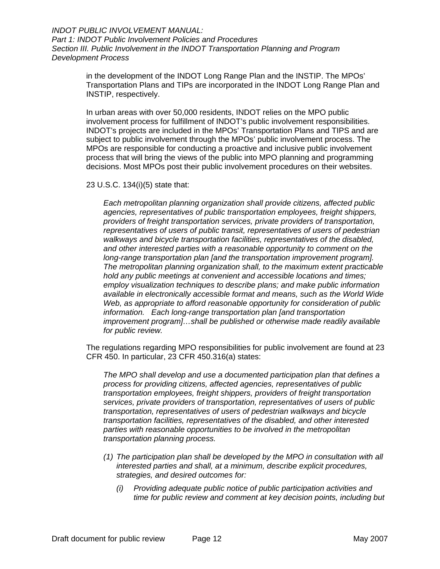> in the development of the INDOT Long Range Plan and the INSTIP. The MPOs' Transportation Plans and TIPs are incorporated in the INDOT Long Range Plan and INSTIP, respectively.

> In urban areas with over 50,000 residents, INDOT relies on the MPO public involvement process for fulfillment of INDOT's public involvement responsibilities. INDOT's projects are included in the MPOs' Transportation Plans and TIPS and are subject to public involvement through the MPOs' public involvement process. The MPOs are responsible for conducting a proactive and inclusive public involvement process that will bring the views of the public into MPO planning and programming decisions. Most MPOs post their public involvement procedures on their websites.

23 U.S.C. 134(i)(5) state that:

*Each metropolitan planning organization shall provide citizens, affected public agencies, representatives of public transportation employees, freight shippers, providers of freight transportation services, private providers of transportation, representatives of users of public transit, representatives of users of pedestrian walkways and bicycle transportation facilities, representatives of the disabled, and other interested parties with a reasonable opportunity to comment on the long-range transportation plan [and the transportation improvement program]. The metropolitan planning organization shall, to the maximum extent practicable hold any public meetings at convenient and accessible locations and times; employ visualization techniques to describe plans; and make public information available in electronically accessible format and means, such as the World Wide Web, as appropriate to afford reasonable opportunity for consideration of public information. Each long-range transportation plan [and transportation improvement program]…shall be published or otherwise made readily available for public review.*

The regulations regarding MPO responsibilities for public involvement are found at 23 CFR 450. In particular, 23 CFR 450.316(a) states:

*The MPO shall develop and use a documented participation plan that defines a process for providing citizens, affected agencies, representatives of public transportation employees, freight shippers, providers of freight transportation services, private providers of transportation, representatives of users of public transportation, representatives of users of pedestrian walkways and bicycle transportation facilities, representatives of the disabled, and other interested parties with reasonable opportunities to be involved in the metropolitan transportation planning process.* 

- *(1) The participation plan shall be developed by the MPO in consultation with all interested parties and shall, at a minimum, describe explicit procedures, strategies, and desired outcomes for:* 
	- *(i) Providing adequate public notice of public participation activities and time for public review and comment at key decision points, including but*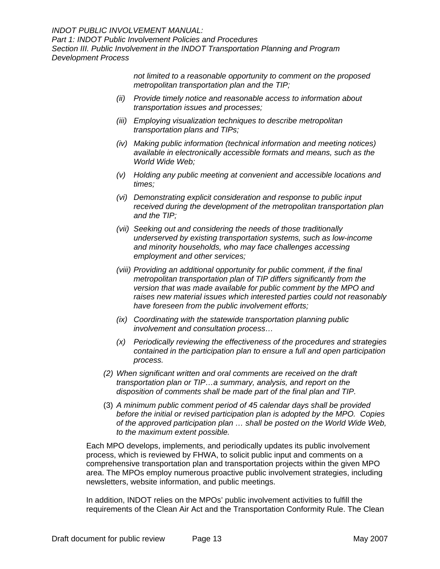*INDOT PUBLIC INVOLVEMENT MANUAL:* 

*Part 1: INDOT Public Involvement Policies and Procedures* 

*Section III. Public Involvement in the INDOT Transportation Planning and Program Development Process* 

> *not limited to a reasonable opportunity to comment on the proposed metropolitan transportation plan and the TIP;*

- *(ii) Provide timely notice and reasonable access to information about transportation issues and processes;*
- *(iii) Employing visualization techniques to describe metropolitan transportation plans and TIPs;*
- *(iv) Making public information (technical information and meeting notices) available in electronically accessible formats and means, such as the World Wide Web;*
- *(v) Holding any public meeting at convenient and accessible locations and times;*
- *(vi) Demonstrating explicit consideration and response to public input received during the development of the metropolitan transportation plan and the TIP;*
- *(vii) Seeking out and considering the needs of those traditionally underserved by existing transportation systems, such as low-income and minority households, who may face challenges accessing employment and other services;*
- *(viii) Providing an additional opportunity for public comment, if the final metropolitan transportation plan of TIP differs significantly from the version that was made available for public comment by the MPO and raises new material issues which interested parties could not reasonably have foreseen from the public involvement efforts;*
- *(ix) Coordinating with the statewide transportation planning public involvement and consultation process…*
- *(x) Periodically reviewing the effectiveness of the procedures and strategies contained in the participation plan to ensure a full and open participation process.*
- *(2) When significant written and oral comments are received on the draft transportation plan or TIP…a summary, analysis, and report on the disposition of comments shall be made part of the final plan and TIP.*
- (3) *A minimum public comment period of 45 calendar days shall be provided before the initial or revised participation plan is adopted by the MPO. Copies of the approved participation plan … shall be posted on the World Wide Web, to the maximum extent possible.*

Each MPO develops, implements, and periodically updates its public involvement process, which is reviewed by FHWA, to solicit public input and comments on a comprehensive transportation plan and transportation projects within the given MPO area. The MPOs employ numerous proactive public involvement strategies, including newsletters, website information, and public meetings.

In addition, INDOT relies on the MPOs' public involvement activities to fulfill the requirements of the Clean Air Act and the Transportation Conformity Rule. The Clean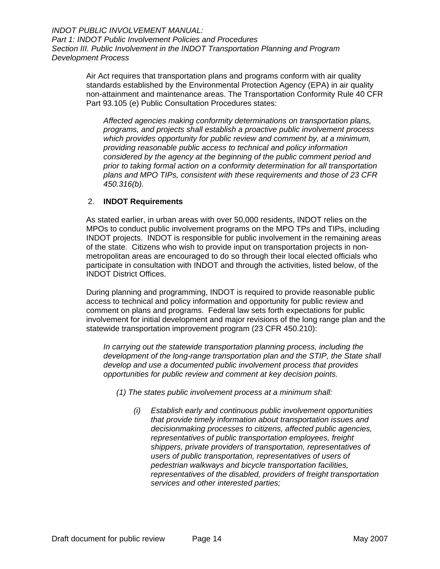> <span id="page-17-0"></span>Air Act requires that transportation plans and programs conform with air quality standards established by the Environmental Protection Agency (EPA) in air quality non-attainment and maintenance areas. The Transportation Conformity Rule 40 CFR Part 93.105 (e) Public Consultation Procedures states:

*Affected agencies making conformity determinations on transportation plans, programs, and projects shall establish a proactive public involvement process which provides opportunity for public review and comment by, at a minimum, providing reasonable public access to technical and policy information considered by the agency at the beginning of the public comment period and prior to taking formal action on a conformity determination for all transportation plans and MPO TIPs, consistent with these requirements and those of 23 CFR 450.316(b).* 

#### 2. **INDOT Requirements**

As stated earlier, in urban areas with over 50,000 residents, INDOT relies on the MPOs to conduct public involvement programs on the MPO TPs and TIPs, including INDOT projects. INDOT is responsible for public involvement in the remaining areas of the state. Citizens who wish to provide input on transportation projects in nonmetropolitan areas are encouraged to do so through their local elected officials who participate in consultation with INDOT and through the activities, listed below, of the INDOT District Offices.

During planning and programming, INDOT is required to provide reasonable public access to technical and policy information and opportunity for public review and comment on plans and programs. Federal law sets forth expectations for public involvement for initial development and major revisions of the long range plan and the statewide transportation improvement program (23 CFR 450.210):

*In carrying out the statewide transportation planning process, including the development of the long-range transportation plan and the STIP, the State shall develop and use a documented public involvement process that provides opportunities for public review and comment at key decision points.* 

*(1) The states public involvement process at a minimum shall:* 

*(i) Establish early and continuous public involvement opportunities that provide timely information about transportation issues and decisionmaking processes to citizens, affected public agencies, representatives of public transportation employees, freight shippers, private providers of transportation, representatives of users of public transportation, representatives of users of pedestrian walkways and bicycle transportation facilities, representatives of the disabled, providers of freight transportation services and other interested parties;*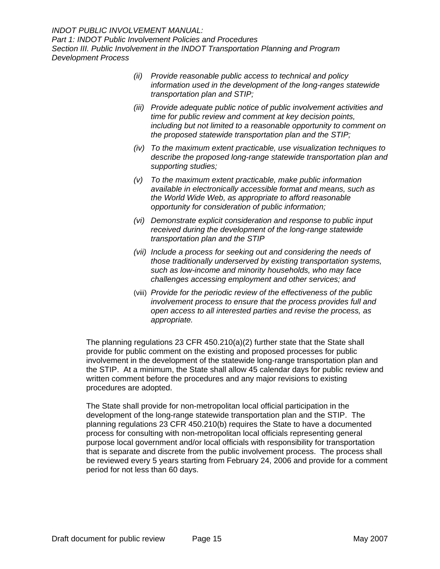- *(ii) Provide reasonable public access to technical and policy information used in the development of the long-ranges statewide transportation plan and STIP;*
- *(iii) Provide adequate public notice of public involvement activities and time for public review and comment at key decision points, including but not limited to a reasonable opportunity to comment on the proposed statewide transportation plan and the STIP;*
- *(iv) To the maximum extent practicable, use visualization techniques to describe the proposed long-range statewide transportation plan and supporting studies;*
- *(v) To the maximum extent practicable, make public information available in electronically accessible format and means, such as the World Wide Web, as appropriate to afford reasonable opportunity for consideration of public information;*
- *(vi) Demonstrate explicit consideration and response to public input received during the development of the long-range statewide transportation plan and the STIP*
- *(vii) Include a process for seeking out and considering the needs of those traditionally underserved by existing transportation systems, such as low-income and minority households, who may face challenges accessing employment and other services; and*
- (viii) *Provide for the periodic review of the effectiveness of the public involvement process to ensure that the process provides full and open access to all interested parties and revise the process, as appropriate.*

The planning regulations 23 CFR 450.210(a)(2) further state that the State shall provide for public comment on the existing and proposed processes for public involvement in the development of the statewide long-range transportation plan and the STIP. At a minimum, the State shall allow 45 calendar days for public review and written comment before the procedures and any major revisions to existing procedures are adopted.

The State shall provide for non-metropolitan local official participation in the development of the long-range statewide transportation plan and the STIP. The planning regulations 23 CFR 450.210(b) requires the State to have a documented process for consulting with non-metropolitan local officials representing general purpose local government and/or local officials with responsibility for transportation that is separate and discrete from the public involvement process. The process shall be reviewed every 5 years starting from February 24, 2006 and provide for a comment period for not less than 60 days.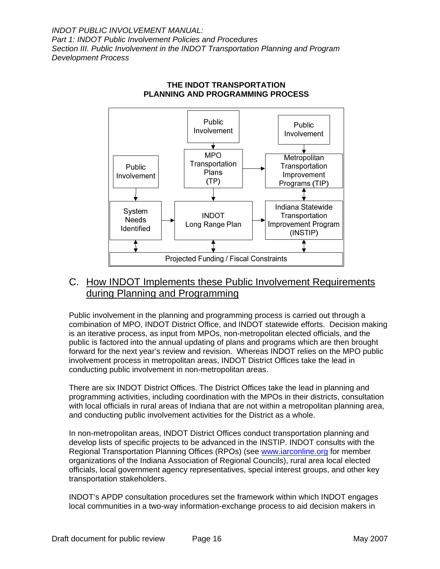<span id="page-19-0"></span>

#### **THE INDOT TRANSPORTATION PLANNING AND PROGRAMMING PROCESS**

## C. How INDOT Implements these Public Involvement Requirements during Planning and Programming

Public involvement in the planning and programming process is carried out through a combination of MPO, INDOT District Office, and INDOT statewide efforts. Decision making is an iterative process, as input from MPOs, non-metropolitan elected officials, and the public is factored into the annual updating of plans and programs which are then brought forward for the next year's review and revision. Whereas INDOT relies on the MPO public involvement process in metropolitan areas, INDOT District Offices take the lead in conducting public involvement in non-metropolitan areas.

There are six INDOT District Offices. The District Offices take the lead in planning and programming activities, including coordination with the MPOs in their districts, consultation with local officials in rural areas of Indiana that are not within a metropolitan planning area, and conducting public involvement activities for the District as a whole.

In non-metropolitan areas, INDOT District Offices conduct transportation planning and develop lists of specific projects to be advanced in the INSTIP. INDOT consults with the Regional Transportation Planning Offices (RPOs) (see [www.iarconline.org](http://www.iarconline.org/) for member organizations of the Indiana Association of Regional Councils), rural area local elected officials, local government agency representatives, special interest groups, and other key transportation stakeholders.

INDOT's APDP consultation procedures set the framework within which INDOT engages local communities in a two-way information-exchange process to aid decision makers in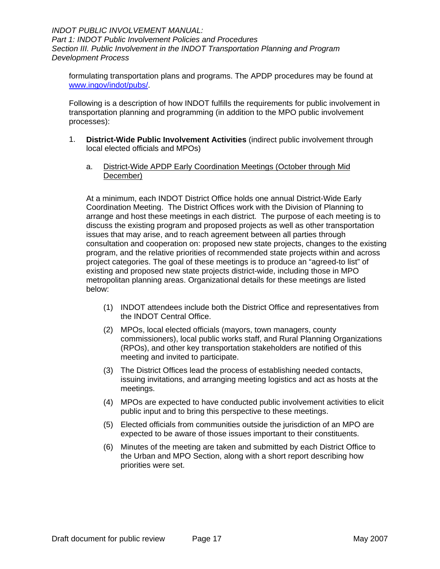<span id="page-20-0"></span>formulating transportation plans and programs. The APDP procedures may be found at [www.ingov/indot/pubs/](http://www.ingov/indot/pubs/).

Following is a description of how INDOT fulfills the requirements for public involvement in transportation planning and programming (in addition to the MPO public involvement processes):

- 1. **District-Wide Public Involvement Activities** (indirect public involvement through local elected officials and MPOs)
	- a. District-Wide APDP Early Coordination Meetings (October through Mid December)

At a minimum, each INDOT District Office holds one annual District-Wide Early Coordination Meeting. The District Offices work with the Division of Planning to arrange and host these meetings in each district. The purpose of each meeting is to discuss the existing program and proposed projects as well as other transportation issues that may arise, and to reach agreement between all parties through consultation and cooperation on: proposed new state projects, changes to the existing program, and the relative priorities of recommended state projects within and across project categories. The goal of these meetings is to produce an "agreed-to list" of existing and proposed new state projects district-wide, including those in MPO metropolitan planning areas. Organizational details for these meetings are listed below:

- (1) INDOT attendees include both the District Office and representatives from the INDOT Central Office.
- (2) MPOs, local elected officials (mayors, town managers, county commissioners), local public works staff, and Rural Planning Organizations (RPOs), and other key transportation stakeholders are notified of this meeting and invited to participate.
- (3) The District Offices lead the process of establishing needed contacts, issuing invitations, and arranging meeting logistics and act as hosts at the meetings.
- (4) MPOs are expected to have conducted public involvement activities to elicit public input and to bring this perspective to these meetings.
- (5) Elected officials from communities outside the jurisdiction of an MPO are expected to be aware of those issues important to their constituents.
- (6) Minutes of the meeting are taken and submitted by each District Office to the Urban and MPO Section, along with a short report describing how priorities were set.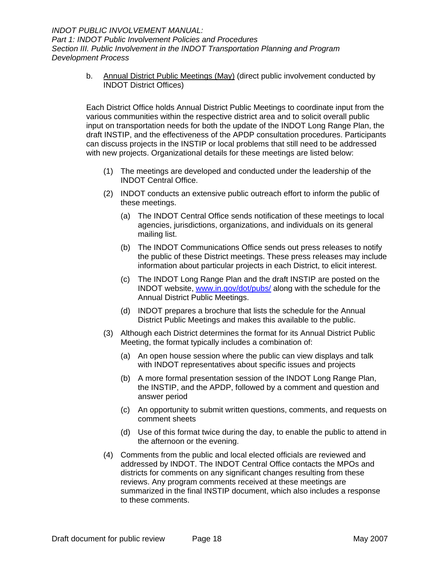> <span id="page-21-0"></span>b. Annual District Public Meetings (May) (direct public involvement conducted by INDOT District Offices)

Each District Office holds Annual District Public Meetings to coordinate input from the various communities within the respective district area and to solicit overall public input on transportation needs for both the update of the INDOT Long Range Plan, the draft INSTIP, and the effectiveness of the APDP consultation procedures. Participants can discuss projects in the INSTIP or local problems that still need to be addressed with new projects. Organizational details for these meetings are listed below:

- (1) The meetings are developed and conducted under the leadership of the INDOT Central Office.
- (2) INDOT conducts an extensive public outreach effort to inform the public of these meetings.
	- (a) The INDOT Central Office sends notification of these meetings to local agencies, jurisdictions, organizations, and individuals on its general mailing list.
	- (b) The INDOT Communications Office sends out press releases to notify the public of these District meetings. These press releases may include information about particular projects in each District, to elicit interest.
	- (c) The INDOT Long Range Plan and the draft INSTIP are posted on the INDOT website, [www.in.gov/dot/pubs/](http://www.in.gov/dot/pubs/) along with the schedule for the Annual District Public Meetings.
	- (d) INDOT prepares a brochure that lists the schedule for the Annual District Public Meetings and makes this available to the public.
- (3) Although each District determines the format for its Annual District Public Meeting, the format typically includes a combination of:
	- (a) An open house session where the public can view displays and talk with INDOT representatives about specific issues and projects
	- (b) A more formal presentation session of the INDOT Long Range Plan, the INSTIP, and the APDP, followed by a comment and question and answer period
	- (c) An opportunity to submit written questions, comments, and requests on comment sheets
	- (d) Use of this format twice during the day, to enable the public to attend in the afternoon or the evening.
- (4) Comments from the public and local elected officials are reviewed and addressed by INDOT. The INDOT Central Office contacts the MPOs and districts for comments on any significant changes resulting from these reviews. Any program comments received at these meetings are summarized in the final INSTIP document, which also includes a response to these comments.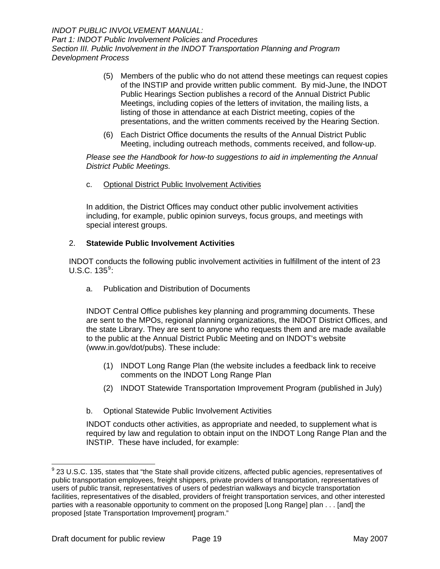- <span id="page-22-0"></span>(5) Members of the public who do not attend these meetings can request copies of the INSTIP and provide written public comment. By mid-June, the INDOT Public Hearings Section publishes a record of the Annual District Public Meetings, including copies of the letters of invitation, the mailing lists, a listing of those in attendance at each District meeting, copies of the presentations, and the written comments received by the Hearing Section.
- (6) Each District Office documents the results of the Annual District Public Meeting, including outreach methods, comments received, and follow-up.

*Please see the Handbook for how-to suggestions to aid in implementing the Annual District Public Meetings.*

c. Optional District Public Involvement Activities

In addition, the District Offices may conduct other public involvement activities including, for example, public opinion surveys, focus groups, and meetings with special interest groups.

#### 2. **Statewide Public Involvement Activities**

INDOT conducts the following public involvement activities in fulfillment of the intent of 23  $U.S.C. 135<sup>9</sup>$  $U.S.C. 135<sup>9</sup>$  $U.S.C. 135<sup>9</sup>$ :

a. Publication and Distribution of Documents

INDOT Central Office publishes key planning and programming documents. These are sent to the MPOs, regional planning organizations, the INDOT District Offices, and the state Library. They are sent to anyone who requests them and are made available to the public at the Annual District Public Meeting and on INDOT's website ([www.in.gov/dot/pubs](http://www.in.gov/dot/pubs)). These include:

- (1) INDOT Long Range Plan (the website includes a feedback link to receive comments on the INDOT Long Range Plan
- (2) INDOT Statewide Transportation Improvement Program (published in July)
- b. Optional Statewide Public Involvement Activities

INDOT conducts other activities, as appropriate and needed, to supplement what is required by law and regulation to obtain input on the INDOT Long Range Plan and the INSTIP. These have included, for example:

 $\overline{a}$ 

<span id="page-22-1"></span> $^9$  23 U.S.C. 135, states that "the State shall provide citizens, affected public agencies, representatives of public transportation employees, freight shippers, private providers of transportation, representatives of users of public transit, representatives of users of pedestrian walkways and bicycle transportation facilities, representatives of the disabled, providers of freight transportation services, and other interested parties with a reasonable opportunity to comment on the proposed [Long Range] plan . . . [and] the proposed [state Transportation Improvement] program."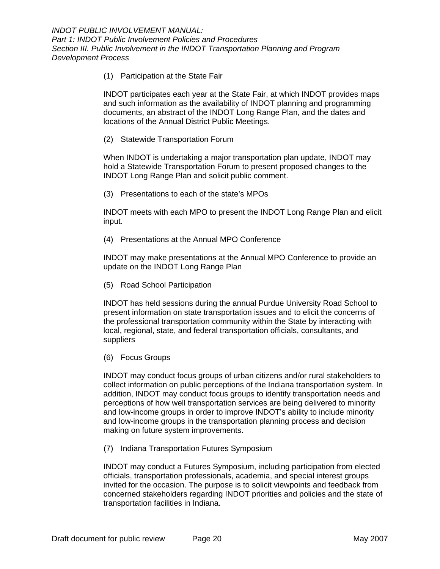(1) Participation at the State Fair

INDOT participates each year at the State Fair, at which INDOT provides maps and such information as the availability of INDOT planning and programming documents, an abstract of the INDOT Long Range Plan, and the dates and locations of the Annual District Public Meetings.

(2) Statewide Transportation Forum

When INDOT is undertaking a major transportation plan update, INDOT may hold a Statewide Transportation Forum to present proposed changes to the INDOT Long Range Plan and solicit public comment.

(3) Presentations to each of the state's MPOs

INDOT meets with each MPO to present the INDOT Long Range Plan and elicit input.

(4) Presentations at the Annual MPO Conference

INDOT may make presentations at the Annual MPO Conference to provide an update on the INDOT Long Range Plan

(5) Road School Participation

INDOT has held sessions during the annual Purdue University Road School to present information on state transportation issues and to elicit the concerns of the professional transportation community within the State by interacting with local, regional, state, and federal transportation officials, consultants, and suppliers

(6) Focus Groups

INDOT may conduct focus groups of urban citizens and/or rural stakeholders to collect information on public perceptions of the Indiana transportation system. In addition, INDOT may conduct focus groups to identify transportation needs and perceptions of how well transportation services are being delivered to minority and low-income groups in order to improve INDOT's ability to include minority and low-income groups in the transportation planning process and decision making on future system improvements.

(7) Indiana Transportation Futures Symposium

INDOT may conduct a Futures Symposium, including participation from elected officials, transportation professionals, academia, and special interest groups invited for the occasion. The purpose is to solicit viewpoints and feedback from concerned stakeholders regarding INDOT priorities and policies and the state of transportation facilities in Indiana.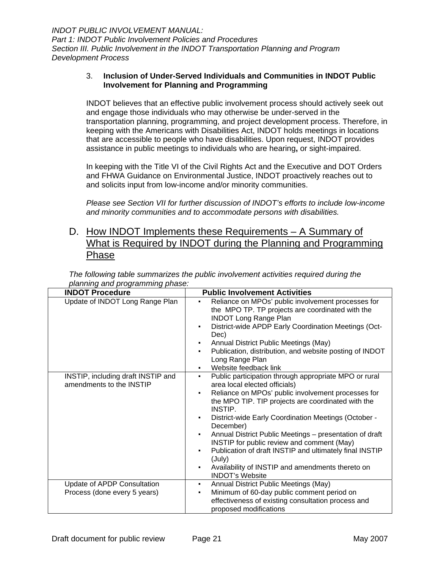#### <span id="page-24-0"></span>3. **Inclusion of Under-Served Individuals and Communities in INDOT Public Involvement for Planning and Programming**

INDOT believes that an effective public involvement process should actively seek out and engage those individuals who may otherwise be under-served in the transportation planning, programming, and project development process. Therefore, in keeping with the Americans with Disabilities Act, INDOT holds meetings in locations that are accessible to people who have disabilities. Upon request, INDOT provides assistance in public meetings to individuals who are hearing**,** or sight-impaired.

In keeping with the Title VI of the Civil Rights Act and the Executive and DOT Orders and FHWA Guidance on Environmental Justice, INDOT proactively reaches out to and solicits input from low-income and/or minority communities.

*Please see Section VII for further discussion of INDOT's efforts to include low-income and minority communities and to accommodate persons with disabilities.*

## D. How INDOT Implements these Requirements – A Summary of What is Required by INDOT during the Planning and Programming Phase

*The following table summarizes the public involvement activities required during the planning and programming phase:*

| <b>INDOT Procedure</b>                                         | <b>Public Involvement Activities</b>                                                                                                                                                                                                                                                                                                                                                                                                                                                                                                                                    |
|----------------------------------------------------------------|-------------------------------------------------------------------------------------------------------------------------------------------------------------------------------------------------------------------------------------------------------------------------------------------------------------------------------------------------------------------------------------------------------------------------------------------------------------------------------------------------------------------------------------------------------------------------|
| Update of INDOT Long Range Plan                                | Reliance on MPOs' public involvement processes for<br>٠<br>the MPO TP. TP projects are coordinated with the<br><b>INDOT Long Range Plan</b><br>District-wide APDP Early Coordination Meetings (Oct-<br>٠<br>Dec)<br>Annual District Public Meetings (May)<br>Publication, distribution, and website posting of INDOT<br>Long Range Plan<br>Website feedback link<br>٠                                                                                                                                                                                                   |
| INSTIP, including draft INSTIP and<br>amendments to the INSTIP | Public participation through appropriate MPO or rural<br>٠<br>area local elected officials)<br>Reliance on MPOs' public involvement processes for<br>٠<br>the MPO TIP. TIP projects are coordinated with the<br>INSTIP.<br>District-wide Early Coordination Meetings (October -<br>٠<br>December)<br>Annual District Public Meetings - presentation of draft<br>٠<br>INSTIP for public review and comment (May)<br>Publication of draft INSTIP and ultimately final INSTIP<br>(July)<br>Availability of INSTIP and amendments thereto on<br>٠<br><b>INDOT's Website</b> |
| Update of APDP Consultation<br>Process (done every 5 years)    | Annual District Public Meetings (May)<br>٠<br>Minimum of 60-day public comment period on<br>٠                                                                                                                                                                                                                                                                                                                                                                                                                                                                           |
|                                                                | effectiveness of existing consultation process and<br>proposed modifications                                                                                                                                                                                                                                                                                                                                                                                                                                                                                            |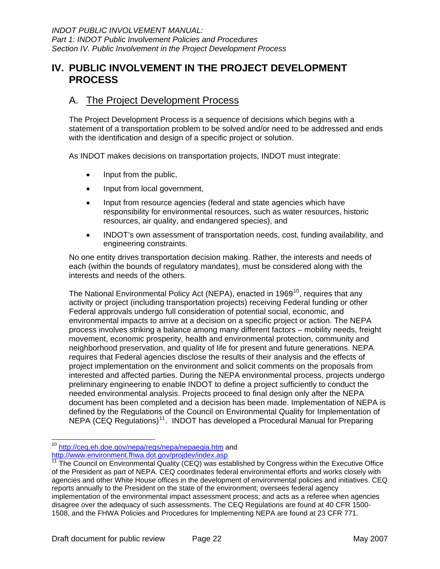## <span id="page-25-0"></span>**IV. PUBLIC INVOLVEMENT IN THE PROJECT DEVELOPMENT PROCESS**

## A. The Project Development Process

The Project Development Process is a sequence of decisions which begins with a statement of a transportation problem to be solved and/or need to be addressed and ends with the identification and design of a specific project or solution.

As INDOT makes decisions on transportation projects, INDOT must integrate:

- Input from the public,
- Input from local government,
- Input from resource agencies (federal and state agencies which have responsibility for environmental resources, such as water resources, historic resources, air quality, and endangered species), and
- INDOT's own assessment of transportation needs, cost, funding availability, and engineering constraints.

No one entity drives transportation decision making. Rather, the interests and needs of each (within the bounds of regulatory mandates), must be considered along with the interests and needs of the others.

The National Environmental Policy Act (NEPA), enacted in 1969<sup>[10](#page-25-1)</sup>, requires that any activity or project (including transportation projects) receiving Federal funding or other Federal approvals undergo full consideration of potential social, economic, and environmental impacts to arrive at a decision on a specific project or action. The NEPA process involves striking a balance among many different factors – mobility needs, freight movement, economic prosperity, health and environmental protection, community and neighborhood preservation, and quality of life for present and future generations. NEPA requires that Federal agencies disclose the results of their analysis and the effects of project implementation on the environment and solicit comments on the proposals from interested and affected parties. During the NEPA environmental process, projects undergo preliminary engineering to enable INDOT to define a project sufficiently to conduct the needed environmental analysis. Projects proceed to final design only after the NEPA document has been completed and a decision has been made. Implementation of NEPA is defined by the Regulations of the Council on Environmental Quality for Implementation of NEPA (CEQ Regulations)<sup>[11](#page-25-2)</sup>. INDOT has developed a Procedural Manual for Preparing

<span id="page-25-1"></span> <sup>10</sup> <http://ceq.eh.doe.gov/nepa/regs/nepa/nepaeqia.htm> and http://www.environment.fhwa.dot.gov/projdev/index.asp

<span id="page-25-2"></span><sup>11</sup> The Council on Environmental Quality (CEQ) was established by Congress within the Executive Office of the President as part of NEPA. CEQ coordinates federal environmental efforts and works closely with agencies and other White House offices in the development of environmental policies and initiatives. CEQ reports annually to the President on the state of the environment; oversees federal agency implementation of the environmental impact assessment process; and acts as a referee when agencies disagree over the adequacy of such assessments. The CEQ Regulations are found at 40 CFR 1500- 1508, and the FHWA Policies and Procedures for Implementing NEPA are found at 23 CFR 771.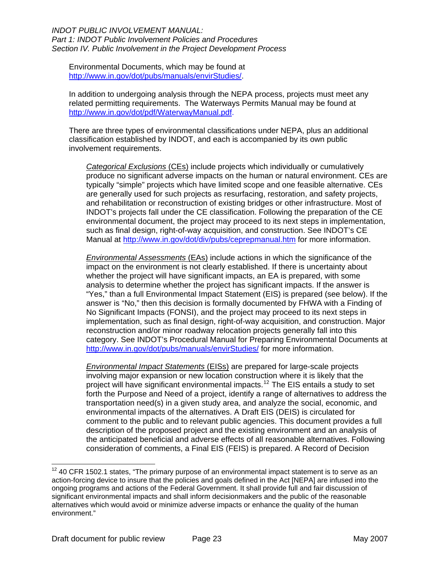#### *INDOT PUBLIC INVOLVEMENT MANUAL: Part 1: INDOT Public Involvement Policies and Procedures Section IV. Public Involvement in the Project Development Process*

Environmental Documents, which may be found at <http://www.in.gov/dot/pubs/manuals/envirStudies/>.

In addition to undergoing analysis through the NEPA process, projects must meet any related permitting requirements. The Waterways Permits Manual may be found at [http://www.in.gov/dot/pdf/WaterwayManual.pdf.](http://www.in.gov/dot/pdf/WaterwayManual.pdf)

There are three types of environmental classifications under NEPA, plus an additional classification established by INDOT, and each is accompanied by its own public involvement requirements.

*Categorical Exclusions* (CEs) include projects which individually or cumulatively produce no significant adverse impacts on the human or natural environment. CEs are typically "simple" projects which have limited scope and one feasible alternative. CEs are generally used for such projects as resurfacing, restoration, and safety projects, and rehabilitation or reconstruction of existing bridges or other infrastructure. Most of INDOT's projects fall under the CE classification. Following the preparation of the CE environmental document, the project may proceed to its next steps in implementation, such as final design, right-of-way acquisition, and construction. See INDOT's CE Manual at<http://www.in.gov/dot/div/pubs/ceprepmanual.htm>for more information.

*Environmental Assessments* (EAs) include actions in which the significance of the impact on the environment is not clearly established. If there is uncertainty about whether the project will have significant impacts, an EA is prepared, with some analysis to determine whether the project has significant impacts. If the answer is "Yes," than a full Environmental Impact Statement (EIS) is prepared (see below). If the answer is "No," then this decision is formally documented by FHWA with a Finding of No Significant Impacts (FONSI), and the project may proceed to its next steps in implementation, such as final design, right-of-way acquisition, and construction. Major reconstruction and/or minor roadway relocation projects generally fall into this category. See INDOT's Procedural Manual for Preparing Environmental Documents at <http://www.in.gov/dot/pubs/manuals/envirStudies/> for more information.

*Environmental Impact Statements* (EISs) are prepared for large-scale projects involving major expansion or new location construction where it is likely that the project will have significant environmental impacts.<sup>[12](#page-26-0)</sup> The EIS entails a study to set forth the Purpose and Need of a project, identify a range of alternatives to address the transportation need(s) in a given study area, and analyze the social, economic, and environmental impacts of the alternatives. A Draft EIS (DEIS) is circulated for comment to the public and to relevant public agencies. This document provides a full description of the proposed project and the existing environment and an analysis of the anticipated beneficial and adverse effects of all reasonable alternatives. Following consideration of comments, a Final EIS (FEIS) is prepared. A Record of Decision

 $\overline{a}$ 

<span id="page-26-0"></span> $12$  40 CFR 1502.1 states, "The primary purpose of an environmental impact statement is to serve as an action-forcing device to insure that the policies and goals defined in the Act [NEPA] are infused into the ongoing programs and actions of the Federal Government. It shall provide full and fair discussion of significant environmental impacts and shall inform decisionmakers and the public of the reasonable alternatives which would avoid or minimize adverse impacts or enhance the quality of the human environment."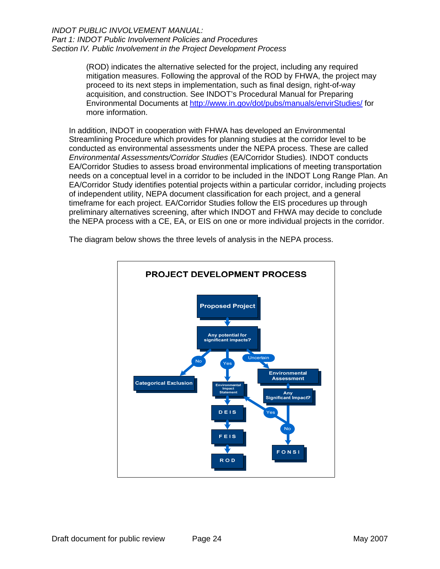#### *INDOT PUBLIC INVOLVEMENT MANUAL: Part 1: INDOT Public Involvement Policies and Procedures Section IV. Public Involvement in the Project Development Process*

(ROD) indicates the alternative selected for the project, including any required mitigation measures. Following the approval of the ROD by FHWA, the project may proceed to its next steps in implementation, such as final design, right-of-way acquisition, and construction. See INDOT's Procedural Manual for Preparing Environmental Documents at<http://www.in.gov/dot/pubs/manuals/envirStudies/>for more information.

In addition, INDOT in cooperation with FHWA has developed an Environmental Streamlining Procedure which provides for planning studies at the corridor level to be conducted as environmental assessments under the NEPA process. These are called *Environmental Assessments/Corridor Studies* (EA/Corridor Studies)*.* INDOT conducts EA/Corridor Studies to assess broad environmental implications of meeting transportation needs on a conceptual level in a corridor to be included in the INDOT Long Range Plan. An EA/Corridor Study identifies potential projects within a particular corridor, including projects of independent utility, NEPA document classification for each project, and a general timeframe for each project. EA/Corridor Studies follow the EIS procedures up through preliminary alternatives screening, after which INDOT and FHWA may decide to conclude the NEPA process with a CE, EA, or EIS on one or more individual projects in the corridor.



The diagram below shows the three levels of analysis in the NEPA process.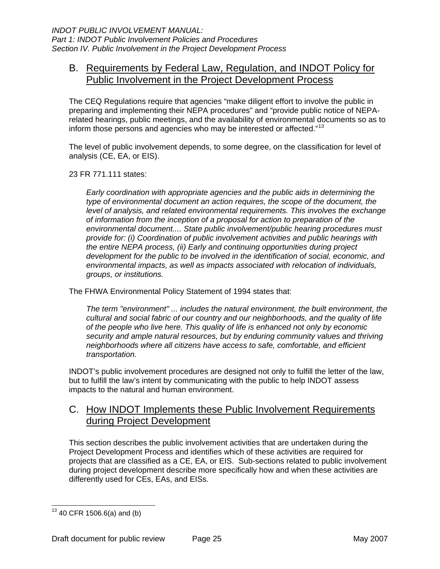## <span id="page-28-0"></span>B. Requirements by Federal Law, Regulation, and INDOT Policy for Public Involvement in the Project Development Process

The CEQ Regulations require that agencies "make diligent effort to involve the public in preparing and implementing their NEPA procedures" and "provide public notice of NEPArelated hearings, public meetings, and the availability of environmental documents so as to inform those persons and agencies who may be interested or affected."<sup>[13](#page-28-1)</sup>

The level of public involvement depends, to some degree, on the classification for level of analysis (CE, EA, or EIS).

23 FR 771.111 states:

*Early coordination with appropriate agencies and the public aids in determining the type of environmental document an action requires, the scope of the document, the level of analysis, and related environmental requirements. This involves the exchange of information from the inception of a proposal for action to preparation of the environmental document.... State public involvement/public hearing procedures must provide for: (i) Coordination of public involvement activities and public hearings with the entire NEPA process, (ii) Early and continuing opportunities during project development for the public to be involved in the identification of social, economic, and environmental impacts, as well as impacts associated with relocation of individuals, groups, or institutions.* 

The FHWA Environmental Policy Statement of 1994 states that:

*The term "environment" ... includes the natural environment, the built environment, the cultural and social fabric of our country and our neighborhoods, and the quality of life of the people who live here. This quality of life is enhanced not only by economic security and ample natural resources, but by enduring community values and thriving neighborhoods where all citizens have access to safe, comfortable, and efficient transportation.* 

INDOT's public involvement procedures are designed not only to fulfill the letter of the law, but to fulfill the law's intent by communicating with the public to help INDOT assess impacts to the natural and human environment.

## C. How INDOT Implements these Public Involvement Requirements during Project Development

This section describes the public involvement activities that are undertaken during the Project Development Process and identifies which of these activities are required for projects that are classified as a CE, EA, or EIS. Sub-sections related to public involvement during project development describe more specifically how and when these activities are differently used for CEs, EAs, and EISs.

<span id="page-28-1"></span><sup>-</sup> $13$  40 CFR 1506.6(a) and (b)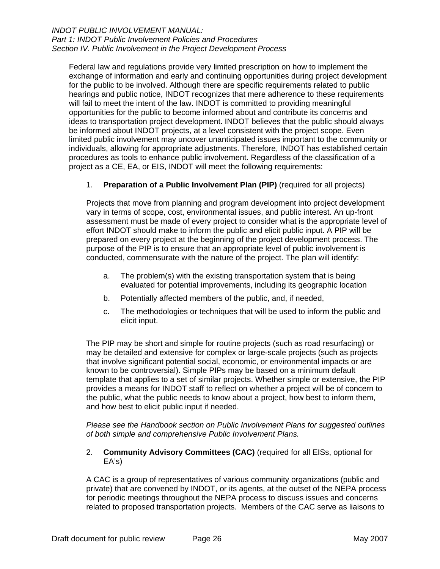#### <span id="page-29-0"></span>*INDOT PUBLIC INVOLVEMENT MANUAL: Part 1: INDOT Public Involvement Policies and Procedures Section IV. Public Involvement in the Project Development Process*

Federal law and regulations provide very limited prescription on how to implement the exchange of information and early and continuing opportunities during project development for the public to be involved. Although there are specific requirements related to public hearings and public notice, INDOT recognizes that mere adherence to these requirements will fail to meet the intent of the law. INDOT is committed to providing meaningful opportunities for the public to become informed about and contribute its concerns and ideas to transportation project development. INDOT believes that the public should always be informed about INDOT projects, at a level consistent with the project scope. Even limited public involvement may uncover unanticipated issues important to the community or individuals, allowing for appropriate adjustments. Therefore, INDOT has established certain procedures as tools to enhance public involvement. Regardless of the classification of a project as a CE, EA, or EIS, INDOT will meet the following requirements:

#### 1. **Preparation of a Public Involvement Plan (PIP)** (required for all projects)

Projects that move from planning and program development into project development vary in terms of scope, cost, environmental issues, and public interest. An up-front assessment must be made of every project to consider what is the appropriate level of effort INDOT should make to inform the public and elicit public input. A PIP will be prepared on every project at the beginning of the project development process. The purpose of the PIP is to ensure that an appropriate level of public involvement is conducted, commensurate with the nature of the project. The plan will identify:

- a. The problem(s) with the existing transportation system that is being evaluated for potential improvements, including its geographic location
- b. Potentially affected members of the public, and, if needed,
- c. The methodologies or techniques that will be used to inform the public and elicit input.

The PIP may be short and simple for routine projects (such as road resurfacing) or may be detailed and extensive for complex or large-scale projects (such as projects that involve significant potential social, economic, or environmental impacts or are known to be controversial). Simple PIPs may be based on a minimum default template that applies to a set of similar projects. Whether simple or extensive, the PIP provides a means for INDOT staff to reflect on whether a project will be of concern to the public, what the public needs to know about a project, how best to inform them, and how best to elicit public input if needed.

*Please see the Handbook section on Public Involvement Plans for suggested outlines of both simple and comprehensive Public Involvement Plans.* 

2. **Community Advisory Committees (CAC)** (required for all EISs, optional for EA's)

A CAC is a group of representatives of various community organizations (public and private) that are convened by INDOT, or its agents, at the outset of the NEPA process for periodic meetings throughout the NEPA process to discuss issues and concerns related to proposed transportation projects. Members of the CAC serve as liaisons to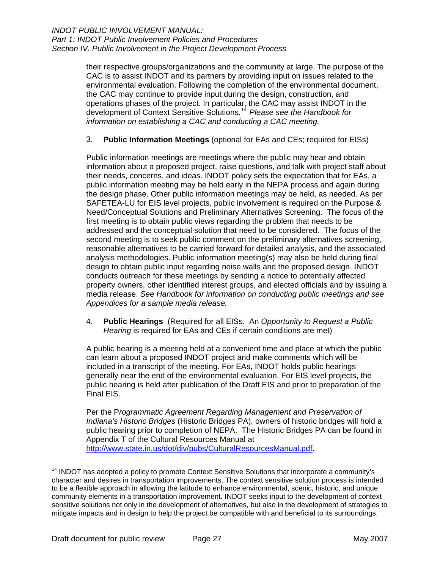<span id="page-30-0"></span>their respective groups/organizations and the community at large. The purpose of the CAC is to assist INDOT and its partners by providing input on issues related to the environmental evaluation. Following the completion of the environmental document, the CAC may continue to provide input during the design, construction, and operations phases of the project. In particular, the CAC may assist INDOT in the development of Context Sensitive Solutions.[14](#page-30-1) *Please see the Handbook for information on establishing a CAC and conducting a CAC meeting.*

#### 3. **Public Information Meetings** (optional for EAs and CEs; required for EISs)

Public information meetings are meetings where the public may hear and obtain information about a proposed project, raise questions, and talk with project staff about their needs, concerns, and ideas. INDOT policy sets the expectation that for EAs, a public information meeting may be held early in the NEPA process and again during the design phase. Other public information meetings may be held, as needed. As per SAFETEA-LU for EIS level projects, public involvement is required on the Purpose & Need/Conceptual Solutions and Preliminary Alternatives Screening. The focus of the first meeting is to obtain public views regarding the problem that needs to be addressed and the conceptual solution that need to be considered. The focus of the second meeting is to seek public comment on the preliminary alternatives screening, reasonable alternatives to be carried forward for detailed analysis, and the associated analysis methodologies. Public information meeting(s) may also be held during final design to obtain public input regarding noise walls and the proposed design. INDOT conducts outreach for these meetings by sending a notice to potentially affected property owners, other identified interest groups, and elected officials and by issuing a media release. *See Handbook for information on conducting public meetings and see Appendices for a sample media release.* 

4. **Public Hearings** (Required for all EISs. An *Opportunity to Request a Public Hearing* is required for EAs and CEs if certain conditions are met)

A public hearing is a meeting held at a convenient time and place at which the public can learn about a proposed INDOT project and make comments which will be included in a transcript of the meeting. For EAs, INDOT holds public hearings generally near the end of the environmental evaluation. For EIS level projects, the public hearing is held after publication of the Draft EIS and prior to preparation of the Final EIS.

Per the P*rogrammatic Agreement Regarding Management and Preservation of Indiana's Historic Bridges* (Historic Bridges PA), owners of historic bridges will hold a public hearing prior to completion of NEPA. The Historic Bridges PA can be found in Appendix T of the Cultural Resources Manual at [http://www.state.in.us/dot/div/pubs/CulturalResourcesManual.pdf.](http://www.state.in.us/dot/div/pubs/CulturalResourcesManual.pdf)

 $\overline{a}$ 

<span id="page-30-1"></span> $14$  INDOT has adopted a policy to promote Context Sensitive Solutions that incorporate a community's character and desires in transportation improvements. The context sensitive solution process is intended to be a flexible approach in allowing the latitude to enhance environmental, scenic, historic, and unique community elements in a transportation improvement. INDOT seeks input to the development of context sensitive solutions not only in the development of alternatives, but also in the development of strategies to mitigate impacts and in design to help the project be compatible with and beneficial to its surroundings.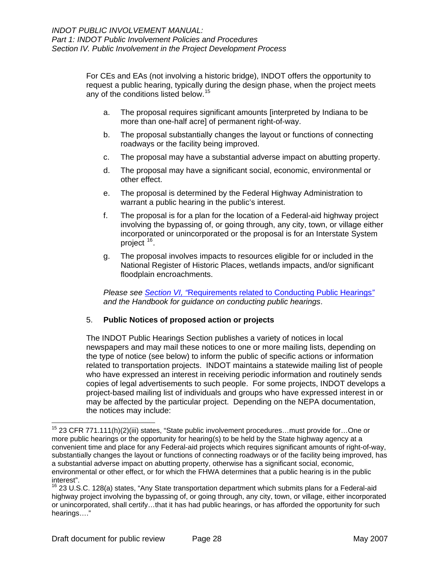<span id="page-31-0"></span>For CEs and EAs (not involving a historic bridge), INDOT offers the opportunity to request a public hearing, typically during the design phase, when the project meets any of the conditions listed below.<sup>[15](#page-31-1)</sup>

- a. The proposal requires significant amounts [interpreted by Indiana to be more than one-half acre] of permanent right-of-way.
- b. The proposal substantially changes the layout or functions of connecting roadways or the facility being improved.
- c. The proposal may have a substantial adverse impact on abutting property.
- d. The proposal may have a significant social, economic, environmental or other effect.
- e. The proposal is determined by the Federal Highway Administration to warrant a public hearing in the public's interest.
- f. The proposal is for a plan for the location of a Federal-aid highway project involving the bypassing of, or going through, any city, town, or village either incorporated or unincorporated or the proposal is for an Interstate System project [16](#page-31-2).
- g. The proposal involves impacts to resources eligible for or included in the National Register of Historic Places, wetlands impacts, and/or significant floodplain encroachments.

*Please see Section VI, "*[Requirements related to Conducting Public Hearings](#page-46-0)*" and the Handbook for guidance on conducting public hearings*.

#### 5. **Public Notices of proposed action or projects**

The INDOT Public Hearings Section publishes a variety of notices in local newspapers and may mail these notices to one or more mailing lists, depending on the type of notice (see below) to inform the public of specific actions or information related to transportation projects. INDOT maintains a statewide mailing list of people who have expressed an interest in receiving periodic information and routinely sends copies of legal advertisements to such people. For some projects, INDOT develops a project-based mailing list of individuals and groups who have expressed interest in or may be affected by the particular project. Depending on the NEPA documentation, the notices may include:

-

<span id="page-31-1"></span> $15$  23 CFR 771.111(h)(2)(iii) states, "State public involvement procedures...must provide for...One or more public hearings or the opportunity for hearing(s) to be held by the State highway agency at a convenient time and place for any Federal-aid projects which requires significant amounts of right-of-way, substantially changes the layout or functions of connecting roadways or of the facility being improved, has a substantial adverse impact on abutting property, otherwise has a significant social, economic, environmental or other effect, or for which the FHWA determines that a public hearing is in the public interest".

<span id="page-31-2"></span><sup>&</sup>lt;sup>16</sup> 23 U.S.C. 128(a) states, "Any State transportation department which submits plans for a Federal-aid highway project involving the bypassing of, or going through, any city, town, or village, either incorporated or unincorporated, shall certify…that it has had public hearings, or has afforded the opportunity for such hearings…."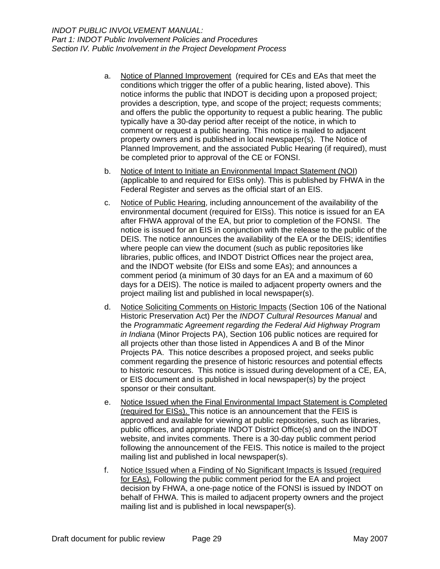- <span id="page-32-0"></span>a. Notice of Planned Improvement (required for CEs and EAs that meet the conditions which trigger the offer of a public hearing, listed above). This notice informs the public that INDOT is deciding upon a proposed project; provides a description, type, and scope of the project; requests comments; and offers the public the opportunity to request a public hearing. The public typically have a 30-day period after receipt of the notice, in which to comment or request a public hearing. This notice is mailed to adjacent property owners and is published in local newspaper(s). The Notice of Planned Improvement, and the associated Public Hearing (if required), must be completed prior to approval of the CE or FONSI.
- b. Notice of Intent to Initiate an Environmental Impact Statement (NOI) (applicable to and required for EISs only). This is published by FHWA in the Federal Register and serves as the official start of an EIS.
- c. Notice of Public Hearing, including announcement of the availability of the environmental document (required for EISs). This notice is issued for an EA after FHWA approval of the EA, but prior to completion of the FONSI. The notice is issued for an EIS in conjunction with the release to the public of the DEIS. The notice announces the availability of the EA or the DEIS; identifies where people can view the document (such as public repositories like libraries, public offices, and INDOT District Offices near the project area, and the INDOT website (for EISs and some EAs); and announces a comment period (a minimum of 30 days for an EA and a maximum of 60 days for a DEIS). The notice is mailed to adjacent property owners and the project mailing list and published in local newspaper(s).
- d. Notice Soliciting Comments on Historic Impacts (Section 106 of the National Historic Preservation Act) Per the *INDOT Cultural Resources Manual* and the *Programmatic Agreement regarding the Federal Aid Highway Program in Indiana* (Minor Projects PA), Section 106 public notices are required for all projects other than those listed in Appendices A and B of the Minor Projects PA. This notice describes a proposed project, and seeks public comment regarding the presence of historic resources and potential effects to historic resources. This notice is issued during development of a CE, EA, or EIS document and is published in local newspaper(s) by the project sponsor or their consultant.
- e. Notice Issued when the Final Environmental Impact Statement is Completed (required for EISs). This notice is an announcement that the FEIS is approved and available for viewing at public repositories, such as libraries, public offices, and appropriate INDOT District Office(s) and on the INDOT website, and invites comments. There is a 30-day public comment period following the announcement of the FEIS. This notice is mailed to the project mailing list and published in local newspaper(s).
- f. Notice Issued when a Finding of No Significant Impacts is Issued (required for EAs). Following the public comment period for the EA and project decision by FHWA, a one-page notice of the FONSI is issued by INDOT on behalf of FHWA. This is mailed to adjacent property owners and the project mailing list and is published in local newspaper(s).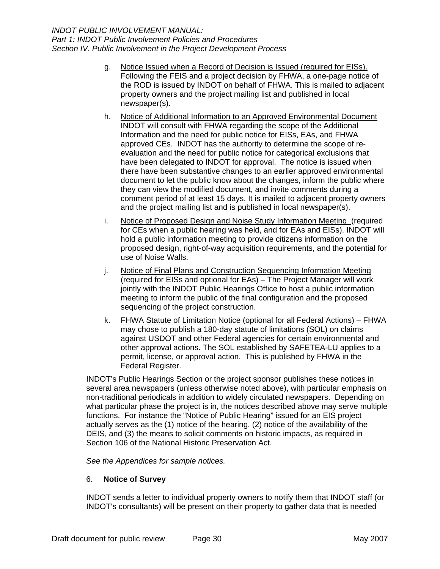- <span id="page-33-0"></span>g. Notice Issued when a Record of Decision is Issued (required for EISs). Following the FEIS and a project decision by FHWA, a one-page notice of the ROD is issued by INDOT on behalf of FHWA. This is mailed to adjacent property owners and the project mailing list and published in local newspaper(s).
- h. Notice of Additional Information to an Approved Environmental Document INDOT will consult with FHWA regarding the scope of the Additional Information and the need for public notice for EISs, EAs, and FHWA approved CEs. INDOT has the authority to determine the scope of reevaluation and the need for public notice for categorical exclusions that have been delegated to INDOT for approval. The notice is issued when there have been substantive changes to an earlier approved environmental document to let the public know about the changes, inform the public where they can view the modified document, and invite comments during a comment period of at least 15 days. It is mailed to adjacent property owners and the project mailing list and is published in local newspaper(s).
- i. Notice of Proposed Design and Noise Study Information Meeting (required for CEs when a public hearing was held, and for EAs and EISs). INDOT will hold a public information meeting to provide citizens information on the proposed design, right-of-way acquisition requirements, and the potential for use of Noise Walls.
- j. Notice of Final Plans and Construction Sequencing Information Meeting (required for EISs and optional for EAs) – The Project Manager will work jointly with the INDOT Public Hearings Office to host a public information meeting to inform the public of the final configuration and the proposed sequencing of the project construction.
- k. FHWA Statute of Limitation Notice (optional for all Federal Actions) FHWA may chose to publish a 180-day statute of limitations (SOL) on claims against USDOT and other Federal agencies for certain environmental and other approval actions. The SOL established by SAFETEA-LU applies to a permit, license, or approval action. This is published by FHWA in the Federal Register.

INDOT's Public Hearings Section or the project sponsor publishes these notices in several area newspapers (unless otherwise noted above), with particular emphasis on non-traditional periodicals in addition to widely circulated newspapers. Depending on what particular phase the project is in, the notices described above may serve multiple functions. For instance the "Notice of Public Hearing" issued for an EIS project actually serves as the (1) notice of the hearing, (2) notice of the availability of the DEIS, and (3) the means to solicit comments on historic impacts, as required in Section 106 of the National Historic Preservation Act.

*See the Appendices for sample notices.* 

#### 6. **Notice of Survey**

INDOT sends a letter to individual property owners to notify them that INDOT staff (or INDOT's consultants) will be present on their property to gather data that is needed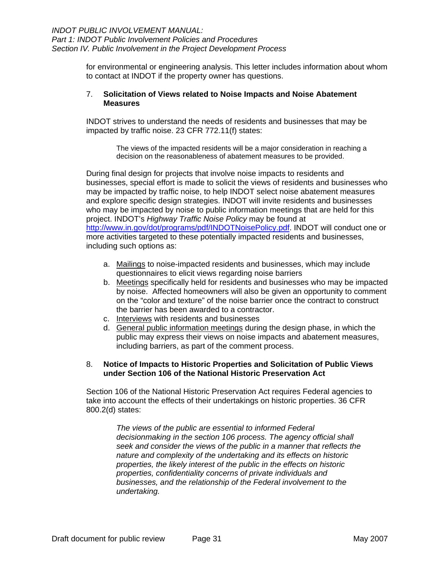<span id="page-34-0"></span>for environmental or engineering analysis. This letter includes information about whom to contact at INDOT if the property owner has questions.

#### 7. **Solicitation of Views related to Noise Impacts and Noise Abatement Measures**

INDOT strives to understand the needs of residents and businesses that may be impacted by traffic noise. 23 CFR 772.11(f) states:

> The views of the impacted residents will be a major consideration in reaching a decision on the reasonableness of abatement measures to be provided.

During final design for projects that involve noise impacts to residents and businesses, special effort is made to solicit the views of residents and businesses who may be impacted by traffic noise, to help INDOT select noise abatement measures and explore specific design strategies. INDOT will invite residents and businesses who may be impacted by noise to public information meetings that are held for this project. INDOT's *Highway Traffic Noise Policy* may be found at <http://www.in.gov/dot/programs/pdf/INDOTNoisePolicy.pdf>. INDOT will conduct one or more activities targeted to these potentially impacted residents and businesses, including such options as:

- a. Mailings to noise-impacted residents and businesses, which may include questionnaires to elicit views regarding noise barriers
- b. Meetings specifically held for residents and businesses who may be impacted by noise. Affected homeowners will also be given an opportunity to comment on the "color and texture" of the noise barrier once the contract to construct the barrier has been awarded to a contractor.
- c. Interviews with residents and businesses
- d. General public information meetings during the design phase, in which the public may express their views on noise impacts and abatement measures, including barriers, as part of the comment process.

#### 8. **Notice of Impacts to Historic Properties and Solicitation of Public Views under Section 106 of the National Historic Preservation Act**

Section 106 of the National Historic Preservation Act requires Federal agencies to take into account the effects of their undertakings on historic properties. 36 CFR 800.2(d) states:

> *The views of the public are essential to informed Federal decisionmaking in the section 106 process. The agency official shall seek and consider the views of the public in a manner that reflects the nature and complexity of the undertaking and its effects on historic properties, the likely interest of the public in the effects on historic properties, confidentiality concerns of private individuals and businesses, and the relationship of the Federal involvement to the undertaking.*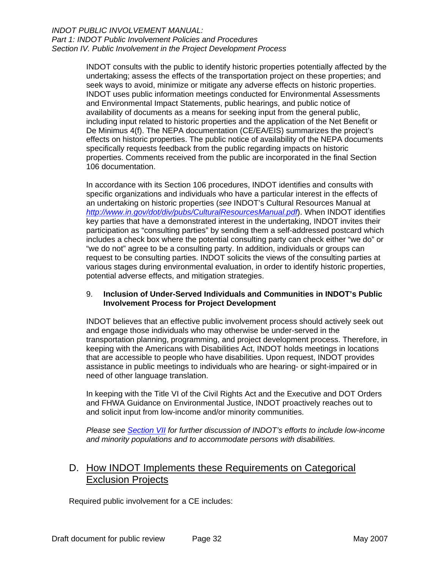#### <span id="page-35-0"></span>*INDOT PUBLIC INVOLVEMENT MANUAL: Part 1: INDOT Public Involvement Policies and Procedures Section IV. Public Involvement in the Project Development Process*

INDOT consults with the public to identify historic properties potentially affected by the undertaking; assess the effects of the transportation project on these properties; and seek ways to avoid, minimize or mitigate any adverse effects on historic properties. INDOT uses public information meetings conducted for Environmental Assessments and Environmental Impact Statements, public hearings, and public notice of availability of documents as a means for seeking input from the general public, including input related to historic properties and the application of the Net Benefit or De Minimus 4(f). The NEPA documentation (CE/EA/EIS) summarizes the project's effects on historic properties. The public notice of availability of the NEPA documents specifically requests feedback from the public regarding impacts on historic properties. Comments received from the public are incorporated in the final Section 106 documentation.

In accordance with its Section 106 procedures, INDOT identifies and consults with specific organizations and individuals who have a particular interest in the effects of an undertaking on historic properties (*see* INDOT's Cultural Resources Manual at *<http://www.in.gov/dot/div/pubs/CulturalResourcesManual.pdf>*). When INDOT identifies key parties that have a demonstrated interest in the undertaking, INDOT invites their participation as "consulting parties" by sending them a self-addressed postcard which includes a check box where the potential consulting party can check either "we do" or "we do not" agree to be a consulting party. In addition, individuals or groups can request to be consulting parties. INDOT solicits the views of the consulting parties at various stages during environmental evaluation, in order to identify historic properties, potential adverse effects, and mitigation strategies.

#### 9. **Inclusion of Under-Served Individuals and Communities in INDOT's Public Involvement Process for Project Development**

INDOT believes that an effective public involvement process should actively seek out and engage those individuals who may otherwise be under-served in the transportation planning, programming, and project development process. Therefore, in keeping with the Americans with Disabilities Act, INDOT holds meetings in locations that are accessible to people who have disabilities. Upon request, INDOT provides assistance in public meetings to individuals who are hearing- or sight-impaired or in need of other language translation.

In keeping with the Title VI of the Civil Rights Act and the Executive and DOT Orders and FHWA Guidance on Environmental Justice, INDOT proactively reaches out to and solicit input from low-income and/or minority communities.

*Please see [Section VII](#page-50-0) for further discussion of INDOT's efforts to include low-income and minority populations and to accommodate persons with disabilities.*

## D. How INDOT Implements these Requirements on Categorical Exclusion Projects

Required public involvement for a CE includes: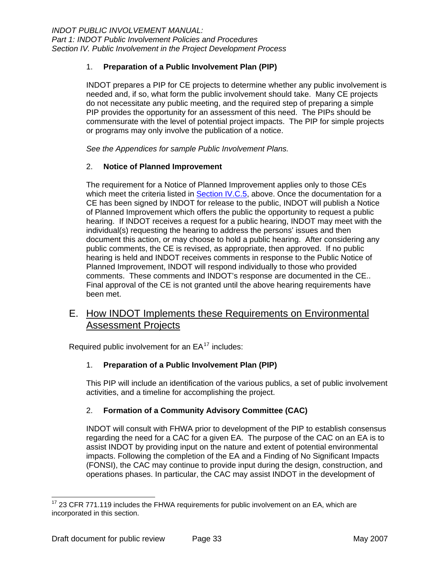#### <span id="page-36-0"></span>1. **Preparation of a Public Involvement Plan (PIP)**

INDOT prepares a PIP for CE projects to determine whether any public involvement is needed and, if so, what form the public involvement should take. Many CE projects do not necessitate any public meeting, and the required step of preparing a simple PIP provides the opportunity for an assessment of this need. The PIPs should be commensurate with the level of potential project impacts. The PIP for simple projects or programs may only involve the publication of a notice.

*See the Appendices for sample Public Involvement Plans.* 

#### 2. **Notice of Planned Improvement**

The requirement for a Notice of Planned Improvement applies only to those CEs which meet the criteria listed in **Section IV.C.5**, above. Once the documentation for a CE has been signed by INDOT for release to the public, INDOT will publish a Notice of Planned Improvement which offers the public the opportunity to request a public hearing. If INDOT receives a request for a public hearing, INDOT may meet with the individual(s) requesting the hearing to address the persons' issues and then document this action, or may choose to hold a public hearing. After considering any public comments, the CE is revised, as appropriate, then approved. If no public hearing is held and INDOT receives comments in response to the Public Notice of Planned Improvement, INDOT will respond individually to those who provided comments. These comments and INDOT's response are documented in the CE.. Final approval of the CE is not granted until the above hearing requirements have been met.

## E. How INDOT Implements these Requirements on Environmental Assessment Projects

Required public involvement for an  $EA^{17}$  $EA^{17}$  $EA^{17}$  includes:

#### 1. **Preparation of a Public Involvement Plan (PIP)**

This PIP will include an identification of the various publics, a set of public involvement activities, and a timeline for accomplishing the project.

#### 2. **Formation of a Community Advisory Committee (CAC)**

INDOT will consult with FHWA prior to development of the PIP to establish consensus regarding the need for a CAC for a given EA. The purpose of the CAC on an EA is to assist INDOT by providing input on the nature and extent of potential environmental impacts. Following the completion of the EA and a Finding of No Significant Impacts (FONSI), the CAC may continue to provide input during the design, construction, and operations phases. In particular, the CAC may assist INDOT in the development of

<span id="page-36-1"></span>  $17$  23 CFR 771.119 includes the FHWA requirements for public involvement on an EA, which are incorporated in this section.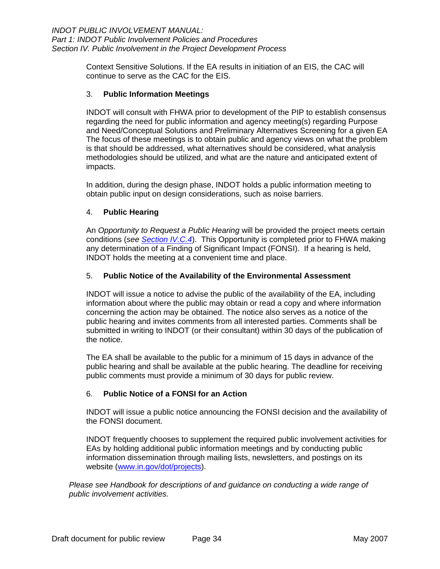<span id="page-37-0"></span>Context Sensitive Solutions. If the EA results in initiation of an EIS, the CAC will continue to serve as the CAC for the EIS.

#### 3. **Public Information Meetings**

INDOT will consult with FHWA prior to development of the PIP to establish consensus regarding the need for public information and agency meeting(s) regarding Purpose and Need/Conceptual Solutions and Preliminary Alternatives Screening for a given EA The focus of these meetings is to obtain public and agency views on what the problem is that should be addressed, what alternatives should be considered, what analysis methodologies should be utilized, and what are the nature and anticipated extent of impacts.

In addition, during the design phase, INDOT holds a public information meeting to obtain public input on design considerations, such as noise barriers.

#### 4. **Public Hearing**

An *Opportunity to Request a Public Hearing* will be provided the project meets certain conditions (*see [Section IV.C.4](#page-30-0)*). This Opportunity is completed prior to FHWA making any determination of a Finding of Significant Impact (FONSI). If a hearing is held, INDOT holds the meeting at a convenient time and place.

#### 5. **Public Notice of the Availability of the Environmental Assessment**

INDOT will issue a notice to advise the public of the availability of the EA, including information about where the public may obtain or read a copy and where information concerning the action may be obtained. The notice also serves as a notice of the public hearing and invites comments from all interested parties. Comments shall be submitted in writing to INDOT (or their consultant) within 30 days of the publication of the notice.

The EA shall be available to the public for a minimum of 15 days in advance of the public hearing and shall be available at the public hearing. The deadline for receiving public comments must provide a minimum of 30 days for public review.

#### 6. **Public Notice of a FONSI for an Action**

INDOT will issue a public notice announcing the FONSI decision and the availability of the FONSI document.

INDOT frequently chooses to supplement the required public involvement activities for EAs by holding additional public information meetings and by conducting public information dissemination through mailing lists, newsletters, and postings on its website [\(www.in.gov/dot/projects](http://www.in.gov/dot/projects)).

*Please see Handbook for descriptions of and guidance on conducting a wide range of public involvement activities.*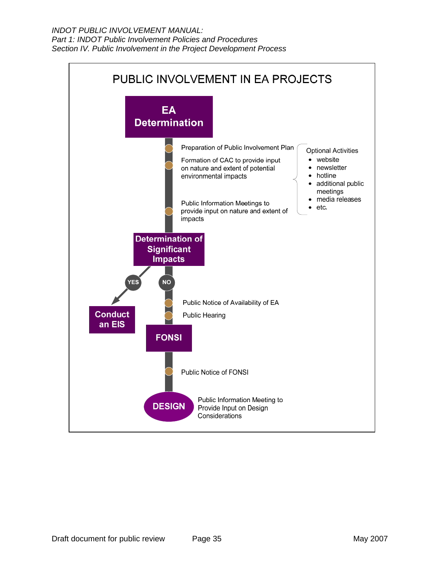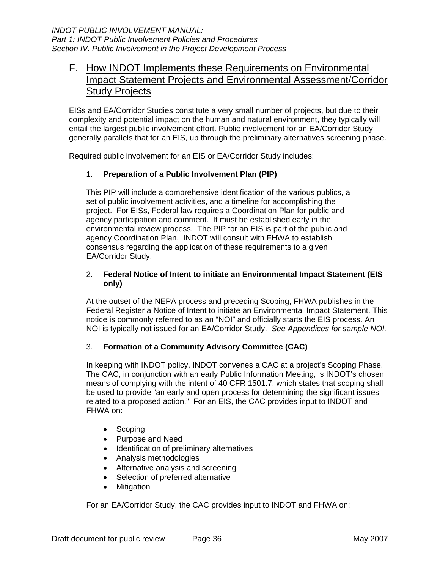## <span id="page-39-0"></span>F. How INDOT Implements these Requirements on Environmental Impact Statement Projects and Environmental Assessment/Corridor Study Projects

EISs and EA/Corridor Studies constitute a very small number of projects, but due to their complexity and potential impact on the human and natural environment, they typically will entail the largest public involvement effort. Public involvement for an EA/Corridor Study generally parallels that for an EIS, up through the preliminary alternatives screening phase.

Required public involvement for an EIS or EA/Corridor Study includes:

#### 1. **Preparation of a Public Involvement Plan (PIP)**

This PIP will include a comprehensive identification of the various publics, a set of public involvement activities, and a timeline for accomplishing the project.For EISs, Federal law requires a Coordination Plan for public and agency participation and comment. It must be established early in the environmental review process. The PIP for an EIS is part of the public and agency Coordination Plan. INDOT will consult with FHWA to establish consensus regarding the application of these requirements to a given EA/Corridor Study.

#### 2. **Federal Notice of Intent to initiate an Environmental Impact Statement (EIS only)**

At the outset of the NEPA process and preceding Scoping, FHWA publishes in the Federal Register a Notice of Intent to initiate an Environmental Impact Statement. This notice is commonly referred to as an "NOI" and officially starts the EIS process. An NOI is typically not issued for an EA/Corridor Study. *See Appendices for sample NOI.*

#### 3. **Formation of a Community Advisory Committee (CAC)**

In keeping with INDOT policy, INDOT convenes a CAC at a project's Scoping Phase. The CAC, in conjunction with an early Public Information Meeting, is INDOT's chosen means of complying with the intent of 40 CFR 1501.7, which states that scoping shall be used to provide "an early and open process for determining the significant issues related to a proposed action." For an EIS, the CAC provides input to INDOT and FHWA on:

- Scoping
- Purpose and Need
- Identification of preliminary alternatives
- Analysis methodologies
- Alternative analysis and screening
- Selection of preferred alternative
- Mitigation

For an EA/Corridor Study, the CAC provides input to INDOT and FHWA on: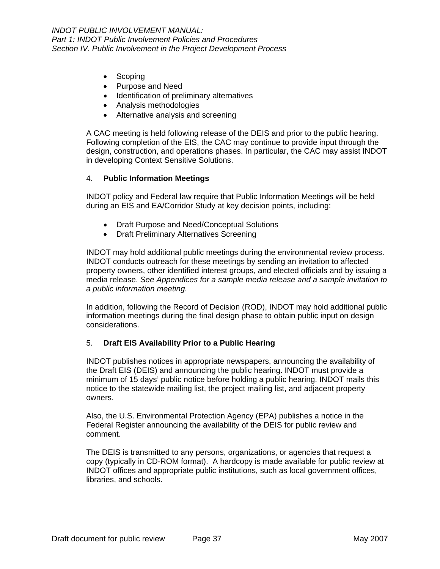- <span id="page-40-0"></span>• Scoping
- Purpose and Need
- Identification of preliminary alternatives
- Analysis methodologies
- Alternative analysis and screening

design, construction, and operations phases. In particular, the CAC may assist INDOT A CAC meeting is held following release of the DEIS and prior to the public hearing. Following completion of the EIS, the CAC may continue to provide input through the in developing Context Sensitive Solutions.

#### 4. **Public Information Meetings**

INDOT policy and Federal law require that Public Information Meetings will be held during an EIS and EA/Corridor Study at key decision points, including:

- Draft Purpose and Need/Conceptual Solutions
- Draft Preliminary Alternatives Screening

media release. See Appendices for a sample media release and a sample invitation to INDOT may hold additional public meetings during the environmental review process. INDOT conducts outreach for these meetings by sending an invitation to affected property owners, other identified interest groups, and elected officials and by issuing a *a public information meeting.* 

In addition, following the Record of Decision (ROD), INDOT may hold additional public information meetings during the final design phase to obtain public input on design considerations.

#### 5. **Draft EIS Availability Prior to a Public Hearing**

minimum of 15 days' public notice before holding a public hearing. INDOT mails this notice to the statewide mailing list, the project mailing list, and adjacent property INDOT publishes notices in appropriate newspapers, announcing the availability of the Draft EIS (DEIS) and announcing the public hearing. INDOT must provide a owners.

Federal Register announcing the availability of the DEIS for public review and Also, the U.S. Environmental Protection Agency (EPA) publishes a notice in the comment.

copy (typically in CD-ROM format). A hardcopy is made available for public review at INDOT offices and appropriate public institutions, such as local government offices, libraries, and schools. The DEIS is transmitted to any persons, organizations, or agencies that request a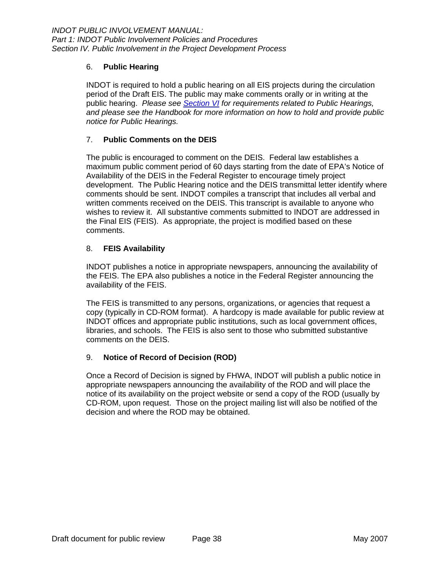#### <span id="page-41-0"></span>6. **Public Hearing**

public hearing. *Please see Section VI* for requirements related to Public Hearings, INDOT is required to hold a public hearing on all EIS projects during the circulation period of the Draft EIS. The public may make comments orally or in writing at the *and please see the Handbook for more information on how to hold and provide public notice for Public Hearings.* 

#### 7. **Public Comments on the DEIS**

The public is encouraged to comment on the DEIS. Federal law establishes a development. The Public Hearing notice and the DEIS transmittal letter identify where written comments received on the DEIS. This transcript is available to anyone who wishes to review it. All substantive comments submitted to INDOT are addressed in the Final EIS (FEIS). As appropriate, the project is modified based on these comments. maximum public comment period of 60 days starting from the date of EPA's Notice of Availability of the DEIS in the Federal Register to encourage timely project comments should be sent. INDOT compiles a transcript that includes all verbal and

#### 8. **FEIS Availability**

INDOT publishes a notice in appropriate newspapers, announcing the availability of the FEIS. The EPA also publishes a notice in the Federal Register announcing the availability of the FEIS.

copy (typically in CD-ROM format). A hardcopy is made available for public review at INDOT offices and appropriate public institutions, such as local government offices, libraries, and schools. The FEIS is also sent to those who submitted substantive The FEIS is transmitted to any persons, organizations, or agencies that request a comments on the DEIS.

#### 9. **Notice of Record of Decision (ROD)**

notice of its availability on the project website or send a copy of the ROD (usually by CD-ROM, upon request. Those on the project mailing list will also be notified of the decision and where the ROD may be obtained. Once a Record of Decision is signed by FHWA, INDOT will publish a public notice in appropriate newspapers announcing the availability of the ROD and will place the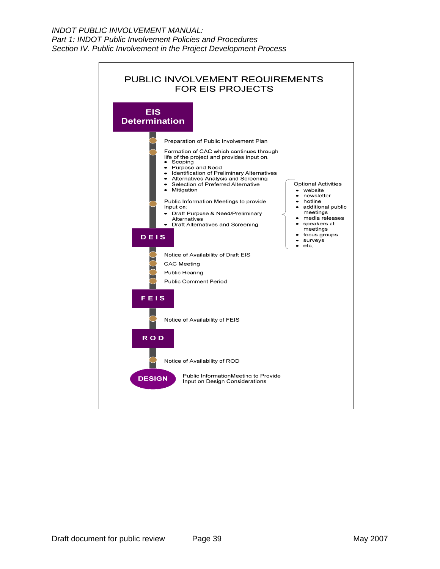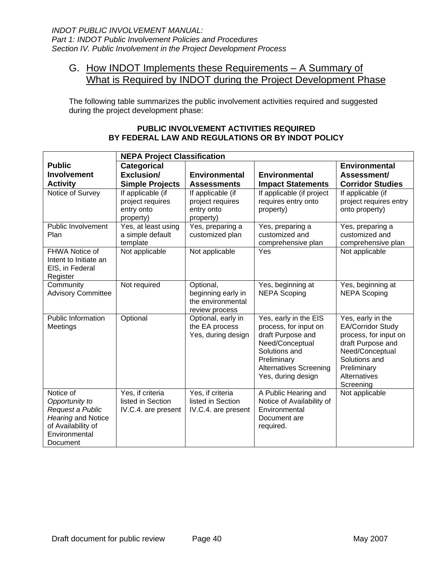## <span id="page-43-0"></span>G. How INDOT Implements these Requirements – A Summary of What is Required by INDOT during the Project Development Phase

The following table summarizes the public involvement activities required and suggested during the project development phase:

| <b>NEPA Project Classification</b>       |                                |                                      |                                                |                                               |
|------------------------------------------|--------------------------------|--------------------------------------|------------------------------------------------|-----------------------------------------------|
| <b>Public</b>                            | <b>Categorical</b>             |                                      |                                                | <b>Environmental</b>                          |
| <b>Involvement</b>                       | Exclusion/                     | <b>Environmental</b>                 | <b>Environmental</b>                           | Assessment/                                   |
| <b>Activity</b>                          | <b>Simple Projects</b>         | <b>Assessments</b>                   | <b>Impact Statements</b>                       | <b>Corridor Studies</b>                       |
| Notice of Survey                         | If applicable (if              | If applicable (if                    | If applicable (if project                      | If applicable (if                             |
|                                          | project requires<br>entry onto | project requires<br>entry onto       | requires entry onto<br>property)               | project requires entry<br>onto property)      |
|                                          | property)                      | property)                            |                                                |                                               |
| Public Involvement                       | Yes, at least using            | Yes, preparing a                     | Yes, preparing a                               | Yes, preparing a                              |
| Plan                                     | a simple default               | customized plan                      | customized and                                 | customized and                                |
|                                          | template                       |                                      | comprehensive plan                             | comprehensive plan                            |
| <b>FHWA Notice of</b>                    | Not applicable                 | Not applicable                       | Yes                                            | Not applicable                                |
| Intent to Initiate an<br>EIS, in Federal |                                |                                      |                                                |                                               |
| Register                                 |                                |                                      |                                                |                                               |
| Community                                | Not required                   | Optional,                            | Yes, beginning at                              | Yes, beginning at                             |
| <b>Advisory Committee</b>                |                                | beginning early in                   | <b>NEPA Scoping</b>                            | <b>NEPA Scoping</b>                           |
|                                          |                                | the environmental                    |                                                |                                               |
| Public Information                       |                                | review process                       |                                                |                                               |
| Meetings                                 | Optional                       | Optional, early in<br>the EA process | Yes, early in the EIS<br>process, for input on | Yes, early in the<br><b>EA/Corridor Study</b> |
|                                          |                                | Yes, during design                   | draft Purpose and                              | process, for input on                         |
|                                          |                                |                                      | Need/Conceptual                                | draft Purpose and                             |
|                                          |                                |                                      | Solutions and                                  | Need/Conceptual                               |
|                                          |                                |                                      | Preliminary                                    | Solutions and                                 |
|                                          |                                |                                      | <b>Alternatives Screening</b>                  | Preliminary                                   |
|                                          |                                |                                      | Yes, during design                             | Alternatives<br>Screening                     |
| Notice of                                | Yes, if criteria               | Yes, if criteria                     | A Public Hearing and                           | Not applicable                                |
| Opportunity to                           | listed in Section              | listed in Section                    | Notice of Availability of                      |                                               |
| Request a Public                         | IV.C.4. are present            | IV.C.4. are present                  | Environmental                                  |                                               |
| Hearing and Notice                       |                                |                                      | Document are                                   |                                               |
| of Availability of<br>Environmental      |                                |                                      | required.                                      |                                               |
| Document                                 |                                |                                      |                                                |                                               |

#### **PUBLIC INVOLVEMENT ACTIVITIES REQUIRED BY FEDERAL LAW AND REGULATIONS OR BY INDOT POLICY**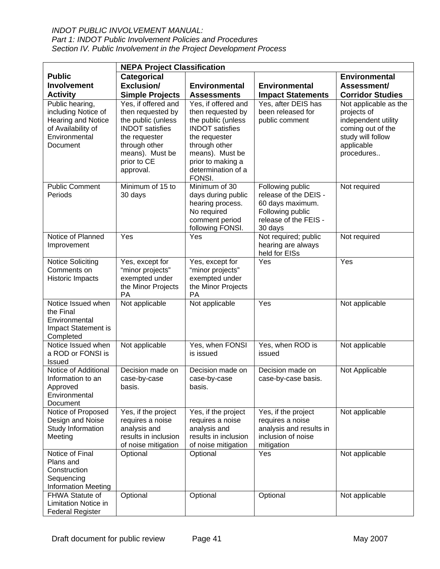### *INDOT PUBLIC INVOLVEMENT MANUAL:*

*Part 1: INDOT Public Involvement Policies and Procedures Section IV. Public Involvement in the Project Development Process* 

|                                                                                                                        | <b>NEPA Project Classification</b>                                                                                                                           |                                                                                                                                                                    |                                                                                                                       |                                                                                                                                   |  |
|------------------------------------------------------------------------------------------------------------------------|--------------------------------------------------------------------------------------------------------------------------------------------------------------|--------------------------------------------------------------------------------------------------------------------------------------------------------------------|-----------------------------------------------------------------------------------------------------------------------|-----------------------------------------------------------------------------------------------------------------------------------|--|
| <b>Public</b>                                                                                                          | Categorical                                                                                                                                                  |                                                                                                                                                                    |                                                                                                                       | <b>Environmental</b>                                                                                                              |  |
| <b>Involvement</b>                                                                                                     | Exclusion/                                                                                                                                                   | <b>Environmental</b>                                                                                                                                               | Environmental                                                                                                         | Assessment/                                                                                                                       |  |
| <b>Activity</b>                                                                                                        | <b>Simple Projects</b>                                                                                                                                       | <b>Assessments</b>                                                                                                                                                 | <b>Impact Statements</b>                                                                                              | <b>Corridor Studies</b>                                                                                                           |  |
| Public hearing,<br>including Notice of<br><b>Hearing and Notice</b><br>of Availability of<br>Environmental<br>Document | Yes, if offered and<br>then requested by<br>the public (unless<br><b>INDOT</b> satisfies<br>the requester<br>through other<br>means). Must be<br>prior to CE | Yes, if offered and<br>then requested by<br>the public (unless<br><b>INDOT</b> satisfies<br>the requester<br>through other<br>means). Must be<br>prior to making a | Yes, after DEIS has<br>been released for<br>public comment                                                            | Not applicable as the<br>projects of<br>independent utility<br>coming out of the<br>study will follow<br>applicable<br>procedures |  |
|                                                                                                                        | approval.                                                                                                                                                    | determination of a<br>FONSI.                                                                                                                                       |                                                                                                                       |                                                                                                                                   |  |
| <b>Public Comment</b><br>Periods                                                                                       | Minimum of 15 to<br>30 days                                                                                                                                  | Minimum of 30<br>days during public<br>hearing process.<br>No required<br>comment period<br>following FONSI.                                                       | Following public<br>release of the DEIS -<br>60 days maximum.<br>Following public<br>release of the FEIS -<br>30 days | Not required                                                                                                                      |  |
| Notice of Planned<br>Improvement                                                                                       | Yes                                                                                                                                                          | Yes                                                                                                                                                                | Not required; public<br>hearing are always<br>held for EISs                                                           | Not required                                                                                                                      |  |
| <b>Notice Soliciting</b><br>Comments on<br>Historic Impacts                                                            | Yes, except for<br>"minor projects"<br>exempted under<br>the Minor Projects<br>PA                                                                            | Yes, except for<br>"minor projects"<br>exempted under<br>the Minor Projects<br>PA                                                                                  | Yes                                                                                                                   | Yes                                                                                                                               |  |
| Notice Issued when<br>the Final<br>Environmental<br>Impact Statement is<br>Completed                                   | Not applicable                                                                                                                                               | Not applicable                                                                                                                                                     | Yes                                                                                                                   | Not applicable                                                                                                                    |  |
| Notice Issued when<br>a ROD or FONSI is<br>Issued                                                                      | Not applicable                                                                                                                                               | Yes, when FONSI<br>is issued                                                                                                                                       | Yes, when ROD is<br>issued                                                                                            | Not applicable                                                                                                                    |  |
| Notice of Additional<br>Information to an<br>Approved<br>Environmental<br>Document                                     | Decision made on<br>case-by-case<br>basıs.                                                                                                                   | Decision made on<br>case-by-case<br>basis.                                                                                                                         | Decision made on<br>case-by-case basis.                                                                               | Not Applicable                                                                                                                    |  |
| Notice of Proposed<br>Design and Noise<br>Study Information<br>Meeting                                                 | Yes, if the project<br>requires a noise<br>analysis and<br>results in inclusion<br>of noise mitigation                                                       | Yes, if the project<br>requires a noise<br>analysis and<br>results in inclusion<br>of noise mitigation                                                             | Yes, if the project<br>requires a noise<br>analysis and results in<br>inclusion of noise<br>mitigation                | Not applicable                                                                                                                    |  |
| Notice of Final<br>Plans and<br>Construction<br>Sequencing<br><b>Information Meeting</b>                               | Optional                                                                                                                                                     | Optional                                                                                                                                                           | Yes                                                                                                                   | Not applicable                                                                                                                    |  |
| FHWA Statute of<br>Limitation Notice in<br><b>Federal Register</b>                                                     | Optional                                                                                                                                                     | Optional                                                                                                                                                           | Optional                                                                                                              | Not applicable                                                                                                                    |  |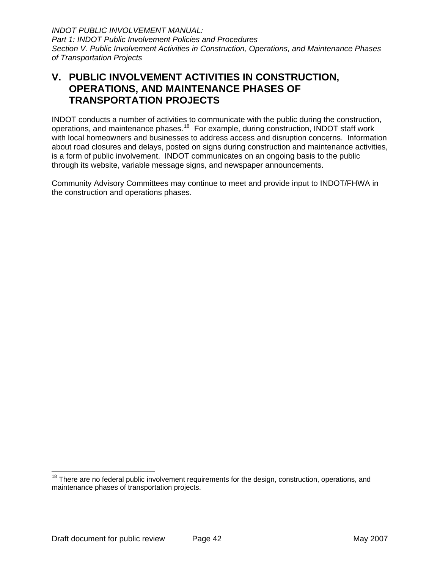<span id="page-45-0"></span>*INDOT PUBLIC INVOLVEMENT MANUAL: Part 1: INDOT Public Involvement Policies and Procedures Section V. Public Involvement Activities in Construction, Operations, and Maintenance Phases of Transportation Projects* 

## **V. PUBLIC INVOLVEMENT ACTIVITIES IN CONSTRUCTION, OPERATIONS, AND MAINTENANCE PHASES OF TRANSPORTATION PROJECTS**

INDOT conducts a number of activities to communicate with the public during the construction, operations, and maintenance phases.<sup>[18](#page-45-1)</sup> For example, during construction, INDOT staff work with local homeowners and businesses to address access and disruption concerns. Information about road closures and delays, posted on signs during construction and maintenance activities, is a form of public involvement. INDOT communicates on an ongoing basis to the public through its website, variable message signs, and newspaper announcements.

Community Advisory Committees may continue to meet and provide input to INDOT/FHWA in the construction and operations phases.

<span id="page-45-1"></span><sup>&</sup>lt;sup>18</sup> There are no federal public involvement requirements for the design, construction, operations, and maintenance phases of transportation projects.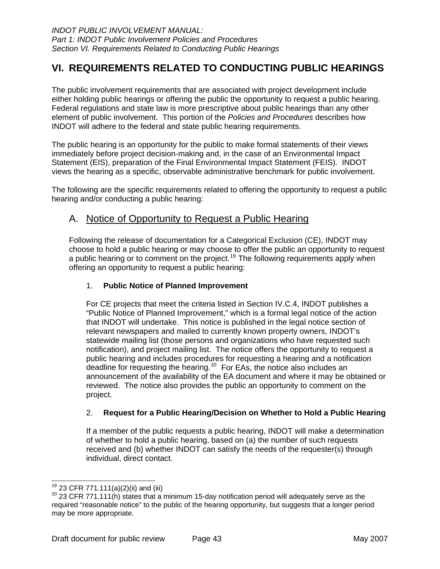## <span id="page-46-0"></span>**VI. REQUIREMENTS RELATED TO CONDUCTING PUBLIC HEARINGS**

The public involvement requirements that are associated with project development include either holding public hearings or offering the public the opportunity to request a public hearing. Federal regulations and state law is more prescriptive about public hearings than any other element of public involvement. This portion of the *Policies and Procedures* describes how INDOT will adhere to the federal and state public hearing requirements.

The public hearing is an opportunity for the public to make formal statements of their views immediately before project decision-making and, in the case of an Environmental Impact Statement (EIS), preparation of the Final Environmental Impact Statement (FEIS). INDOT views the hearing as a specific, observable administrative benchmark for public involvement.

The following are the specific requirements related to offering the opportunity to request a public hearing and/or conducting a public hearing:

## A. Notice of Opportunity to Request a Public Hearing

Following the release of documentation for a Categorical Exclusion (CE), INDOT may choose to hold a public hearing or may choose to offer the public an opportunity to request a public hearing or to comment on the project.<sup>[19](#page-46-1)</sup> The following requirements apply when offering an opportunity to request a public hearing:

#### 1. **Public Notice of Planned Improvement**

For CE projects that meet the criteria listed in Section IV.C.4, INDOT publishes a "Public Notice of Planned Improvement," which is a formal legal notice of the action that INDOT will undertake. This notice is published in the legal notice section of relevant newspapers and mailed to currently known property owners, INDOT's statewide mailing list (those persons and organizations who have requested such notification), and project mailing list. The notice offers the opportunity to request a public hearing and includes procedures for requesting a hearing and a notification deadline for requesting the hearing.<sup>[20](#page-46-2)</sup> For EAs, the notice also includes an announcement of the availability of the EA document and where it may be obtained or reviewed. The notice also provides the public an opportunity to comment on the project.

#### 2. **Request for a Public Hearing/Decision on Whether to Hold a Public Hearing**

If a member of the public requests a public hearing, INDOT will make a determination of whether to hold a public hearing, based on (a) the number of such requests received and (b) whether INDOT can satisfy the needs of the requester(s) through individual, direct contact.

 $19$  23 CFR 771.111(a)(2)(ii) and (iii)

<span id="page-46-2"></span><span id="page-46-1"></span> $20$  23 CFR 771.111(h) states that a minimum 15-day notification period will adequately serve as the required "reasonable notice" to the public of the hearing opportunity, but suggests that a longer period may be more appropriate.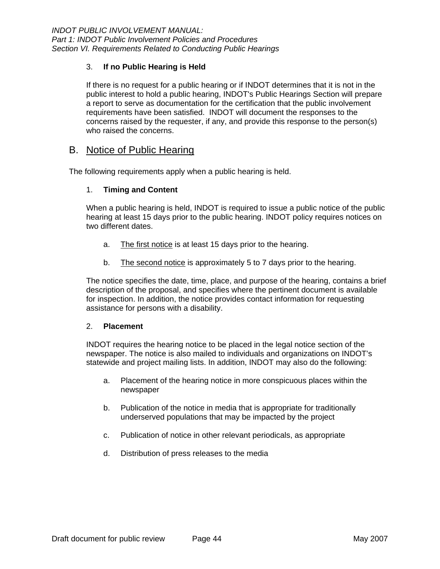#### <span id="page-47-0"></span>3. **If no Public Hearing is Held**

If there is no request for a public hearing or if INDOT determines that it is not in the public interest to hold a public hearing, INDOT's Public Hearings Section will prepare a report to serve as documentation for the certification that the public involvement requirements have been satisfied. INDOT will document the responses to the concerns raised by the requester, if any, and provide this response to the person(s) who raised the concerns.

### B. Notice of Public Hearing

The following requirements apply when a public hearing is held.

#### 1. **Timing and Content**

When a public hearing is held, INDOT is required to issue a public notice of the public hearing at least 15 days prior to the public hearing. INDOT policy requires notices on two different dates.

- a. The first notice is at least 15 days prior to the hearing.
- b. The second notice is approximately 5 to 7 days prior to the hearing.

The notice specifies the date, time, place, and purpose of the hearing, contains a brief description of the proposal, and specifies where the pertinent document is available for inspection. In addition, the notice provides contact information for requesting assistance for persons with a disability.

#### 2. **Placement**

INDOT requires the hearing notice to be placed in the legal notice section of the newspaper. The notice is also mailed to individuals and organizations on INDOT's statewide and project mailing lists. In addition, INDOT may also do the following:

- a. Placement of the hearing notice in more conspicuous places within the newspaper
- b. Publication of the notice in media that is appropriate for traditionally underserved populations that may be impacted by the project
- c. Publication of notice in other relevant periodicals, as appropriate
- d. Distribution of press releases to the media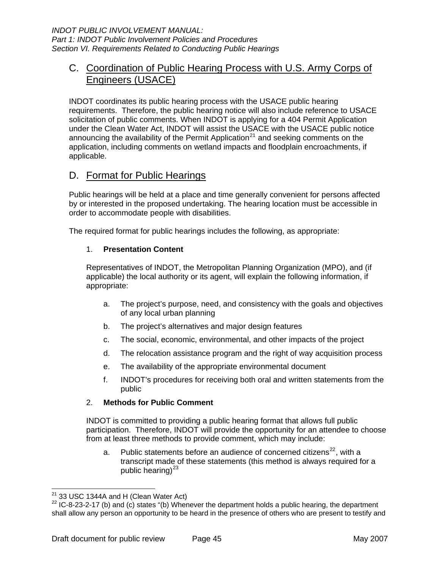## <span id="page-48-0"></span>C. Coordination of Public Hearing Process with U.S. Army Corps of Engineers (USACE)

INDOT coordinates its public hearing process with the USACE public hearing requirements. Therefore, the public hearing notice will also include reference to USACE solicitation of public comments. When INDOT is applying for a 404 Permit Application under the Clean Water Act, INDOT will assist the USACE with the USACE public notice announcing the availability of the Permit Application<sup>[21](#page-48-1)</sup> and seeking comments on the application, including comments on wetland impacts and floodplain encroachments, if applicable.

## D. Format for Public Hearings

Public hearings will be held at a place and time generally convenient for persons affected by or interested in the proposed undertaking. The hearing location must be accessible in order to accommodate people with disabilities.

The required format for public hearings includes the following, as appropriate:

#### 1. **Presentation Content**

Representatives of INDOT, the Metropolitan Planning Organization (MPO), and (if applicable) the local authority or its agent, will explain the following information, if appropriate:

- a. The project's purpose, need, and consistency with the goals and objectives of any local urban planning
- b. The project's alternatives and major design features
- c. The social, economic, environmental, and other impacts of the project
- d. The relocation assistance program and the right of way acquisition process
- e. The availability of the appropriate environmental document
- f. INDOT's procedures for receiving both oral and written statements from the public

#### <span id="page-48-3"></span>2. **Methods for Public Comment**

INDOT is committed to providing a public hearing format that allows full public participation. Therefore, INDOT will provide the opportunity for an attendee to choose from at least three methods to provide comment, which may include:

a. Public statements before an audience of concerned citizens<sup>[22](#page-48-2)</sup>, with a transcript made of these statements (this method is always required for a public hearing) $^{23}$  $^{23}$  $^{23}$ 

 $21$  33 USC 1344A and H (Clean Water Act)

<span id="page-48-2"></span><span id="page-48-1"></span> $22$  IC-8-23-2-17 (b) and (c) states "(b) Whenever the department holds a public hearing, the department shall allow any person an opportunity to be heard in the presence of others who are present to testify and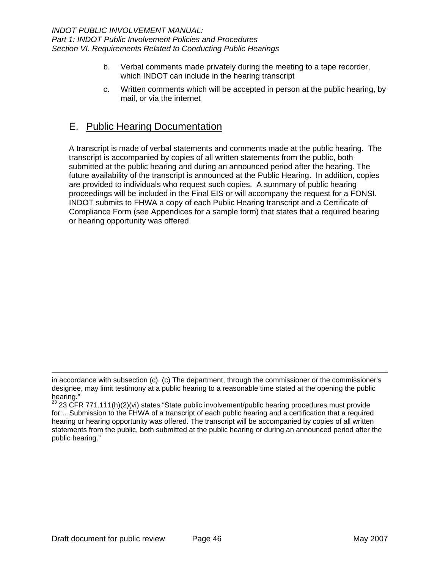- <span id="page-49-0"></span>b. Verbal comments made privately during the meeting to a tape recorder, which INDOT can include in the hearing transcript
- c. Written comments which will be accepted in person at the public hearing, by mail, or via the internet

## E. Public Hearing Documentation

A transcript is made of verbal statements and comments made at the public hearing. The transcript is accompanied by copies of all written statements from the public, both submitted at the public hearing and during an announced period after the hearing. The future availability of the transcript is announced at the Public Hearing. In addition, copies are provided to individuals who request such copies. A summary of public hearing proceedings will be included in the Final EIS or will accompany the request for a FONSI. INDOT submits to FHWA a copy of each Public Hearing transcript and a Certificate of Compliance Form (see Appendices for a sample form) that states that a required hearing or hearing opportunity was offered.

-

in accordance with subsection (c). (c) The department, through the commissioner or the commissioner's designee, may limit testimony at a public hearing to a reasonable time stated at the opening the public hearing."

 $23$  23 CFR 771.111(h)(2)(vi) states "State public involvement/public hearing procedures must provide for:...Submission to the FHWA of a transcript of each public hearing and a certification that a required hearing or hearing opportunity was offered. The transcript will be accompanied by copies of all written statements from the public, both submitted at the public hearing or during an announced period after the public hearing."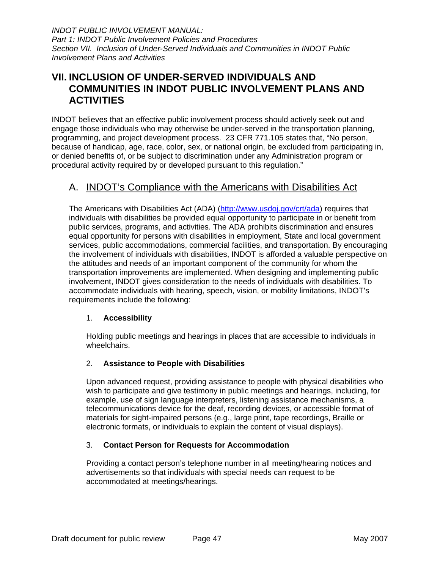<span id="page-50-0"></span>*INDOT PUBLIC INVOLVEMENT MANUAL: Part 1: INDOT Public Involvement Policies and Procedures Section VII. Inclusion of Under-Served Individuals and Communities in INDOT Public Involvement Plans and Activities* 

## **VII. INCLUSION OF UNDER-SERVED INDIVIDUALS AND COMMUNITIES IN INDOT PUBLIC INVOLVEMENT PLANS AND ACTIVITIES**

INDOT believes that an effective public involvement process should actively seek out and engage those individuals who may otherwise be under-served in the transportation planning, programming, and project development process. 23 CFR 771.105 states that, "No person, because of handicap, age, race, color, sex, or national origin, be excluded from participating in, or denied benefits of, or be subject to discrimination under any Administration program or procedural activity required by or developed pursuant to this regulation."

## A. INDOT's Compliance with the Americans with Disabilities Act

The Americans with Disabilities Act (ADA) (<http://www.usdoj.gov/crt/ada>) requires that individuals with disabilities be provided equal opportunity to participate in or benefit from public services, programs, and activities. The ADA prohibits discrimination and ensures equal opportunity for persons with disabilities in employment, State and local government services, public accommodations, commercial facilities, and transportation. By encouraging the involvement of individuals with disabilities, INDOT is afforded a valuable perspective on the attitudes and needs of an important component of the community for whom the transportation improvements are implemented. When designing and implementing public involvement, INDOT gives consideration to the needs of individuals with disabilities. To accommodate individuals with hearing, speech, vision, or mobility limitations, INDOT's requirements include the following:

#### 1. **Accessibility**

Holding public meetings and hearings in places that are accessible to individuals in wheelchairs.

#### 2. **Assistance to People with Disabilities**

Upon advanced request, providing assistance to people with physical disabilities who wish to participate and give testimony in public meetings and hearings, including, for example, use of sign language interpreters, listening assistance mechanisms, a telecommunications device for the deaf, recording devices, or accessible format of materials for sight-impaired persons (e.g., large print, tape recordings, Braille or electronic formats, or individuals to explain the content of visual displays).

#### 3. **Contact Person for Requests for Accommodation**

Providing a contact person's telephone number in all meeting/hearing notices and advertisements so that individuals with special needs can request to be accommodated at meetings/hearings.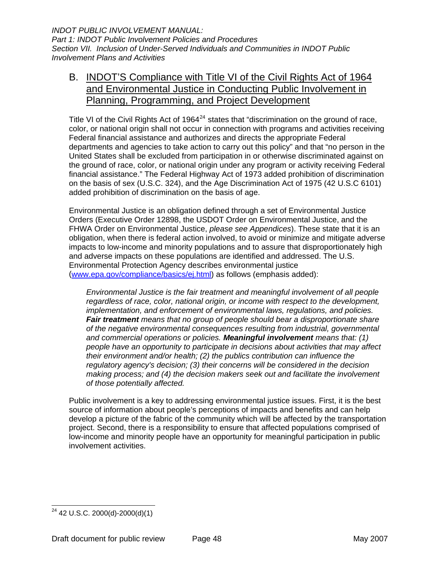## <span id="page-51-0"></span>B. INDOT'S Compliance with Title VI of the Civil Rights Act of 1964 and Environmental Justice in Conducting Public Involvement in Planning, Programming, and Project Development

Title VI of the Civil Rights Act of 1964 $^{24}$  $^{24}$  $^{24}$  states that "discrimination on the ground of race, color, or national origin shall not occur in connection with programs and activities receiving Federal financial assistance and authorizes and directs the appropriate Federal departments and agencies to take action to carry out this policy" and that "no person in the United States shall be excluded from participation in or otherwise discriminated against on the ground of race, color, or national origin under any program or activity receiving Federal financial assistance." The Federal Highway Act of 1973 added prohibition of discrimination on the basis of sex (U.S.C. 324), and the Age Discrimination Act of 1975 (42 U.S.C 6101) added prohibition of discrimination on the basis of age.

Environmental Justice is an obligation defined through a set of Environmental Justice Orders (Executive Order 12898, the USDOT Order on Environmental Justice, and the FHWA Order on Environmental Justice, *please see Appendices*). These state that it is an obligation, when there is federal action involved, to avoid or minimize and mitigate adverse impacts to low-income and minority populations and to assure that disproportionately high and adverse impacts on these populations are identified and addressed. The U.S. Environmental Protection Agency describes environmental justice ([www.epa.gov/compliance/basics/ej.html](http://www.epa.gov/compliance/basics/ej.html)) as follows (emphasis added):

*Environmental Justice is the fair treatment and meaningful involvement of all people regardless of race, color, national origin, or income with respect to the development, implementation, and enforcement of environmental laws, regulations, and policies. Fair treatment means that no group of people should bear a disproportionate share of the negative environmental consequences resulting from industrial, governmental and commercial operations or policies. Meaningful involvement means that: (1) people have an opportunity to participate in decisions about activities that may affect their environment and/or health; (2) the publics contribution can influence the regulatory agency's decision; (3) their concerns will be considered in the decision making process; and (4) the decision makers seek out and facilitate the involvement of those potentially affected.* 

Public involvement is a key to addressing environmental justice issues. First, it is the best source of information about people's perceptions of impacts and benefits and can help develop a picture of the fabric of the community which will be affected by the transportation project. Second, there is a responsibility to ensure that affected populations comprised of low-income and minority people have an opportunity for meaningful participation in public involvement activities.

<span id="page-51-1"></span><sup>-</sup> $^{24}$  42 U.S.C. 2000(d)-2000(d)(1)